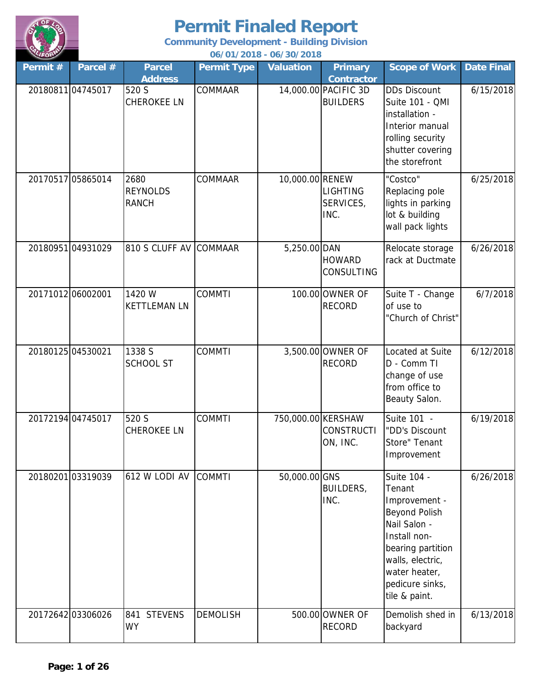

| LIFORM   |                   |                                         |                    | 06/01/2018 - 06/30/2018 |                                         |                                                                                                                                                                                              |                   |
|----------|-------------------|-----------------------------------------|--------------------|-------------------------|-----------------------------------------|----------------------------------------------------------------------------------------------------------------------------------------------------------------------------------------------|-------------------|
| Permit # | Parcel #          | <b>Parcel</b><br><b>Address</b>         | <b>Permit Type</b> | <b>Valuation</b>        | <b>Primary</b><br><b>Contractor</b>     | <b>Scope of Work</b>                                                                                                                                                                         | <b>Date Final</b> |
|          | 20180811 04745017 | 520 S<br><b>CHEROKEE LN</b>             | COMMAAR            |                         | 14,000.00 PACIFIC 3D<br><b>BUILDERS</b> | <b>DDs Discount</b><br>Suite 101 - QMI<br>installation -<br>Interior manual<br>rolling security<br>shutter covering<br>the storefront                                                        | 6/15/2018         |
|          | 20170517 05865014 | 2680<br><b>REYNOLDS</b><br><b>RANCH</b> | <b>COMMAAR</b>     | 10,000.00 RENEW         | <b>LIGHTING</b><br>SERVICES,<br>INC.    | "Costco"<br>Replacing pole<br>lights in parking<br>lot & building<br>wall pack lights                                                                                                        | 6/25/2018         |
|          | 2018095104931029  | 810 S CLUFF AV                          | <b>COMMAAR</b>     | 5,250.00 DAN            | <b>HOWARD</b><br><b>CONSULTING</b>      | Relocate storage<br>rack at Ductmate                                                                                                                                                         | 6/26/2018         |
|          | 20171012 06002001 | 1420 W<br><b>KETTLEMAN LN</b>           | <b>COMMTI</b>      |                         | 100.00 OWNER OF<br><b>RECORD</b>        | Suite T - Change<br>of use to<br>"Church of Christ"                                                                                                                                          | 6/7/2018          |
|          | 20180125 04530021 | 1338 S<br><b>SCHOOL ST</b>              | <b>COMMTI</b>      |                         | 3,500.00 OWNER OF<br><b>RECORD</b>      | Located at Suite<br>D - Comm TI<br>change of use<br>from office to<br>Beauty Salon.                                                                                                          | 6/12/2018         |
|          | 20172194 04745017 | 520 S<br><b>CHEROKEE LN</b>             | <b>COMMTI</b>      | 750,000.00 KERSHAW      | <b>CONSTRUCTI</b><br>ON, INC.           | Suite 101 -<br>"DD's Discount<br>Store" Tenant<br>Improvement                                                                                                                                | 6/19/2018         |
|          | 2018020103319039  | 612 W LODI AV                           | <b>COMMTI</b>      | 50,000.00 GNS           | BUILDERS,<br>INC.                       | Suite 104 -<br>Tenant<br>Improvement -<br><b>Beyond Polish</b><br>Nail Salon -<br>Install non-<br>bearing partition<br>walls, electric,<br>water heater,<br>pedicure sinks,<br>tile & paint. | 6/26/2018         |
|          | 20172642 03306026 | 841 STEVENS<br><b>WY</b>                | <b>DEMOLISH</b>    |                         | 500.00 OWNER OF<br><b>RECORD</b>        | Demolish shed in<br>backyard                                                                                                                                                                 | 6/13/2018         |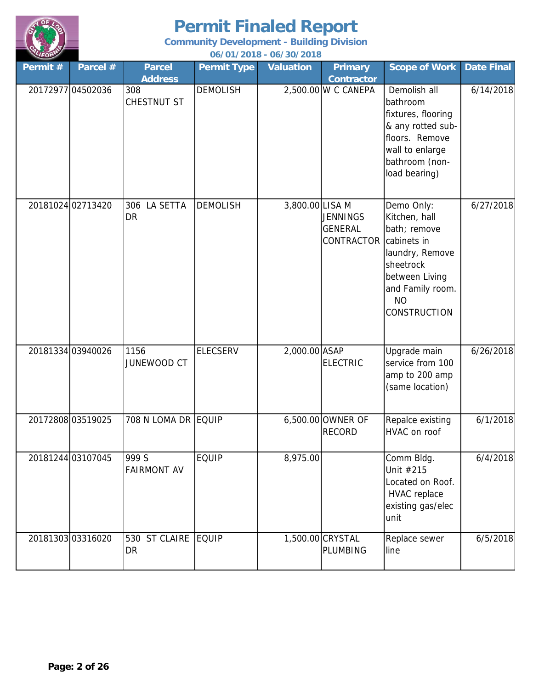

| LIFORM   |                   |                                 |                    | 06/01/2018 - 06/30/2018 |                                                        |                                                                                                                                                                      |                   |
|----------|-------------------|---------------------------------|--------------------|-------------------------|--------------------------------------------------------|----------------------------------------------------------------------------------------------------------------------------------------------------------------------|-------------------|
| Permit # | Parcel #          | <b>Parcel</b><br><b>Address</b> | <b>Permit Type</b> | <b>Valuation</b>        | <b>Primary</b><br><b>Contractor</b>                    | <b>Scope of Work</b>                                                                                                                                                 | <b>Date Final</b> |
|          | 20172977 04502036 | 308<br>CHESTNUT ST              | <b>DEMOLISH</b>    |                         | 2,500.00 W C CANEPA                                    | Demolish all<br>bathroom<br>fixtures, flooring<br>& any rotted sub-<br>floors. Remove<br>wall to enlarge<br>bathroom (non-<br>load bearing)                          | 6/14/2018         |
|          | 20181024 02713420 | 306 LA SETTA<br>DR              | <b>DEMOLISH</b>    | 3,800.00 LISA M         | <b>JENNINGS</b><br><b>GENERAL</b><br><b>CONTRACTOR</b> | Demo Only:<br>Kitchen, hall<br>bath; remove<br>cabinets in<br>laundry, Remove<br>sheetrock<br>between Living<br>and Family room.<br><b>NO</b><br><b>CONSTRUCTION</b> | 6/27/2018         |
|          | 20181334 03940026 | 1156<br>JUNEWOOD CT             | <b>ELECSERV</b>    | 2,000.00 ASAP           | <b>ELECTRIC</b>                                        | Upgrade main<br>service from 100<br>amp to 200 amp<br>(same location)                                                                                                | 6/26/2018         |
|          | 2017280803519025  | 708 N LOMA DR EQUIP             |                    |                         | 6,500.00 OWNER OF<br><b>RECORD</b>                     | Repalce existing<br>HVAC on roof                                                                                                                                     | 6/1/2018          |
|          | 20181244 03107045 | 999 S<br><b>FAIRMONT AV</b>     | <b>EQUIP</b>       | 8,975.00                |                                                        | Comm Bldg.<br>Unit #215<br>Located on Roof.<br><b>HVAC</b> replace<br>existing gas/elec<br>unit                                                                      | 6/4/2018          |
|          | 2018130303316020  | 530 ST CLAIRE<br><b>DR</b>      | <b>EQUIP</b>       |                         | 1,500.00 CRYSTAL<br><b>PLUMBING</b>                    | Replace sewer<br>line                                                                                                                                                | 6/5/2018          |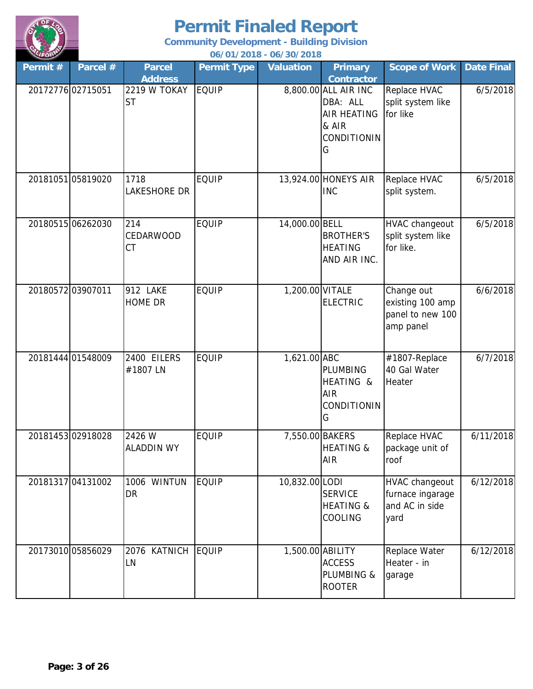

| LIFORM<br>Permit# | Parcel #          | <b>Parcel</b>                 | <b>Permit Type</b> | 06/01/2018 - 06/30/2018<br><b>Valuation</b> | <b>Primary</b>                                                                      | <b>Scope of Work</b>                                                | <b>Date Final</b> |
|-------------------|-------------------|-------------------------------|--------------------|---------------------------------------------|-------------------------------------------------------------------------------------|---------------------------------------------------------------------|-------------------|
|                   |                   | <b>Address</b>                |                    |                                             | <b>Contractor</b>                                                                   |                                                                     |                   |
|                   | 2017277602715051  | 2219 W TOKAY<br><b>ST</b>     | <b>EQUIP</b>       |                                             | 8,800.00 ALL AIR INC<br>DBA: ALL<br><b>AIR HEATING</b><br>& AIR<br>CONDITIONIN<br>G | Replace HVAC<br>split system like<br>for like                       | 6/5/2018          |
|                   | 20181051 05819020 | 1718<br>LAKESHORE DR          | <b>EQUIP</b>       |                                             | 13,924.00 HONEYS AIR<br><b>INC</b>                                                  | Replace HVAC<br>split system.                                       | 6/5/2018          |
|                   | 20180515 06262030 | 214<br>CEDARWOOD<br><b>CT</b> | <b>EQUIP</b>       | 14,000.00 BELL                              | <b>BROTHER'S</b><br><b>HEATING</b><br>AND AIR INC.                                  | <b>HVAC changeout</b><br>split system like<br>for like.             | 6/5/2018          |
|                   | 2018057203907011  | 912 LAKE<br><b>HOME DR</b>    | <b>EQUIP</b>       | 1,200.00 VITALE                             | <b>ELECTRIC</b>                                                                     | Change out<br>existing 100 amp<br>panel to new 100<br>amp panel     | 6/6/2018          |
|                   | 20181444 01548009 | 2400 EILERS<br>#1807 LN       | <b>EQUIP</b>       | 1,621.00 ABC                                | PLUMBING<br>HEATING &<br><b>AIR</b><br>CONDITIONIN<br>G                             | #1807-Replace<br>40 Gal Water<br>Heater                             | 6/7/2018          |
|                   | 2018145302918028  | 2426 W<br><b>ALADDIN WY</b>   | <b>EQUIP</b>       | 7,550.00 BAKERS                             | <b>HEATING &amp;</b><br><b>AIR</b>                                                  | Replace HVAC<br>package unit of<br>roof                             | 6/11/2018         |
|                   | 2018131704131002  | 1006 WINTUN<br>DR             | <b>EQUIP</b>       | 10,832.00 LODI                              | <b>SERVICE</b><br><b>HEATING &amp;</b><br>COOLING                                   | <b>HVAC changeout</b><br>furnace ingarage<br>and AC in side<br>yard | 6/12/2018         |
|                   | 20173010 05856029 | 2076 KATNICH<br>LN            | <b>EQUIP</b>       | 1,500.00 ABILITY                            | <b>ACCESS</b><br>PLUMBING &<br><b>ROOTER</b>                                        | Replace Water<br>Heater - in<br>garage                              | 6/12/2018         |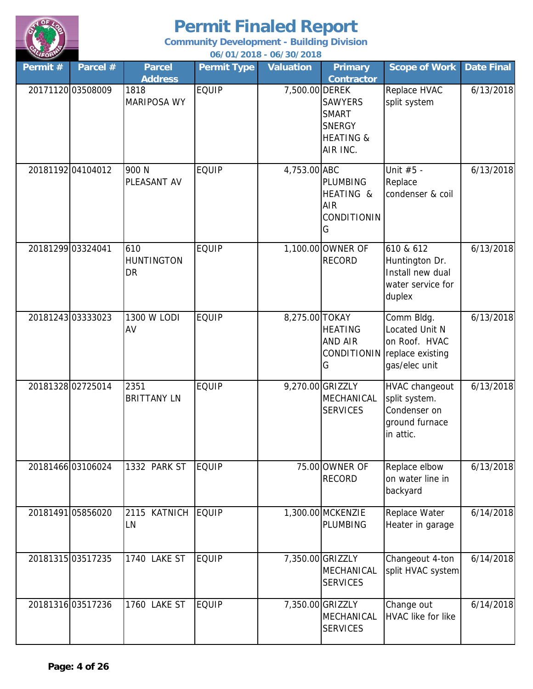

| LIFORM            |                   |                                       |                    | 06/01/2018 - 06/30/2018 |                                                                                     |                                                                                                |                   |
|-------------------|-------------------|---------------------------------------|--------------------|-------------------------|-------------------------------------------------------------------------------------|------------------------------------------------------------------------------------------------|-------------------|
| Permit#           | Parcel #          | <b>Parcel</b><br><b>Address</b>       | <b>Permit Type</b> | <b>Valuation</b>        | <b>Primary</b><br><b>Contractor</b>                                                 | <b>Scope of Work</b>                                                                           | <b>Date Final</b> |
|                   | 20171120 03508009 | 1818<br><b>MARIPOSA WY</b>            | <b>EQUIP</b>       | 7,500.00 DEREK          | <b>SAWYERS</b><br><b>SMART</b><br><b>SNERGY</b><br><b>HEATING &amp;</b><br>AIR INC. | Replace HVAC<br>split system                                                                   | 6/13/2018         |
|                   | 2018119204104012  | 900 N<br>PLEASANT AV                  | <b>EQUIP</b>       | 4,753.00 ABC            | <b>PLUMBING</b><br>HEATING &<br><b>AIR</b><br><b>CONDITIONIN</b><br>G               | Unit #5 -<br>Replace<br>condenser & coil                                                       | 6/13/2018         |
| 20181299 03324041 |                   | 610<br><b>HUNTINGTON</b><br><b>DR</b> | <b>EQUIP</b>       |                         | 1,100.00 OWNER OF<br><b>RECORD</b>                                                  | 610 & 612<br>Huntington Dr.<br>Install new dual<br>water service for<br>duplex                 | 6/13/2018         |
|                   | 20181243 03333023 | 1300 W LODI<br>AV                     | <b>EQUIP</b>       | 8,275.00 TOKAY          | <b>HEATING</b><br><b>AND AIR</b><br>G                                               | Comm Bldg.<br>Located Unit N<br>on Roof. HVAC<br>CONDITIONIN replace existing<br>gas/elec unit | 6/13/2018         |
|                   | 20181328 02725014 | 2351<br><b>BRITTANY LN</b>            | <b>EQUIP</b>       |                         | 9,270.00 GRIZZLY<br>MECHANICAL<br><b>SERVICES</b>                                   | <b>HVAC changeout</b><br>split system.<br>Condenser on<br>ground furnace<br>in attic.          | 6/13/2018         |
|                   | 20181466 03106024 | 1332 PARK ST                          | <b>EQUIP</b>       |                         | 75.00 OWNER OF<br><b>RECORD</b>                                                     | Replace elbow<br>on water line in<br>backyard                                                  | 6/13/2018         |
|                   | 20181491 05856020 | 2115 KATNICH<br>LN                    | <b>EQUIP</b>       |                         | 1,300.00 MCKENZIE<br>PLUMBING                                                       | Replace Water<br>Heater in garage                                                              | 6/14/2018         |
|                   | 20181315 03517235 | 1740 LAKE ST                          | <b>EQUIP</b>       |                         | 7,350.00 GRIZZLY<br>MECHANICAL<br><b>SERVICES</b>                                   | Changeout 4-ton<br>split HVAC system                                                           | 6/14/2018         |
|                   | 20181316 03517236 | 1760 LAKE ST                          | <b>EQUIP</b>       |                         | 7,350.00 GRIZZLY<br>MECHANICAL<br><b>SERVICES</b>                                   | Change out<br><b>HVAC like for like</b>                                                        | 6/14/2018         |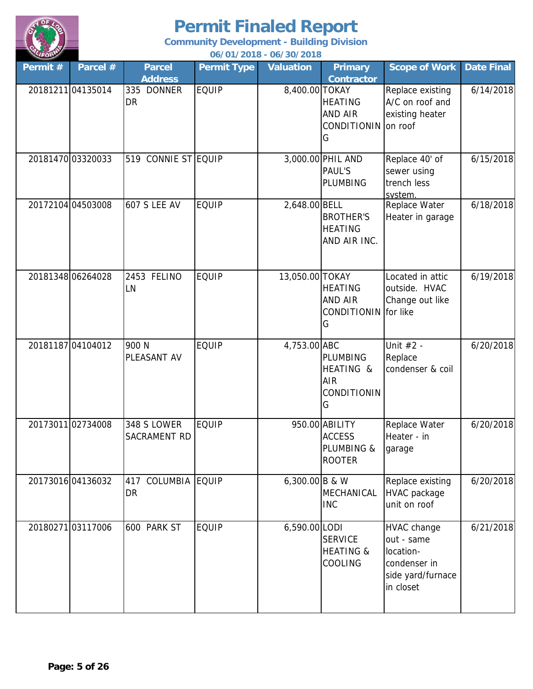

| LIFORM  |                   |                                    |                    | 06/01/2018 - 06/30/2018 |                                                                       |                                                                                          |                   |
|---------|-------------------|------------------------------------|--------------------|-------------------------|-----------------------------------------------------------------------|------------------------------------------------------------------------------------------|-------------------|
| Permit# | Parcel #          | <b>Parcel</b>                      | <b>Permit Type</b> | <b>Valuation</b>        | <b>Primary</b>                                                        | <b>Scope of Work</b>                                                                     | <b>Date Final</b> |
|         |                   | <b>Address</b>                     |                    |                         | <b>Contractor</b>                                                     |                                                                                          |                   |
|         | 2018121104135014  | 335 DONNER<br><b>DR</b>            | <b>EQUIP</b>       | 8,400.00 TOKAY          | <b>HEATING</b><br><b>AND AIR</b><br>CONDITIONIN<br>G                  | Replace existing<br>A/C on roof and<br>existing heater<br>on roof                        | 6/14/2018         |
|         | 2018147003320033  | 519 CONNIE ST EQUIP                |                    |                         | 3,000.00 PHIL AND<br><b>PAUL'S</b><br>PLUMBING                        | Replace 40' of<br>sewer using<br>trench less<br>system.                                  | 6/15/2018         |
|         | 20172104 04503008 | <b>607 S LEE AV</b>                | <b>EQUIP</b>       | 2,648.00 BELL           | <b>BROTHER'S</b><br><b>HEATING</b><br>AND AIR INC.                    | Replace Water<br>Heater in garage                                                        | 6/18/2018         |
|         | 20181348 06264028 | 2453 FELINO<br><b>LN</b>           | <b>EQUIP</b>       | 13,050.00 TOKAY         | <b>HEATING</b><br><b>AND AIR</b><br>CONDITIONIN for like<br>G         | Located in attic<br>outside. HVAC<br>Change out like                                     | 6/19/2018         |
|         | 20181187 04104012 | 900 N<br>PLEASANT AV               | <b>EQUIP</b>       | 4,753.00 ABC            | <b>PLUMBING</b><br>HEATING &<br><b>AIR</b><br><b>CONDITIONIN</b><br>G | Unit #2 -<br>Replace<br>condenser & coil                                                 | 6/20/2018         |
|         | 2017301102734008  | 348 S LOWER<br><b>SACRAMENT RD</b> | <b>EQUIP</b>       |                         | 950.00 ABILITY<br><b>ACCESS</b><br>PLUMBING &<br><b>ROOTER</b>        | Replace Water<br>Heater - in<br>garage                                                   | 6/20/2018         |
|         | 20173016 04136032 | 417 COLUMBIA<br><b>DR</b>          | <b>EQUIP</b>       | 6,300.00 B & W          | MECHANICAL<br><b>INC</b>                                              | Replace existing<br><b>HVAC</b> package<br>unit on roof                                  | 6/20/2018         |
|         | 2018027103117006  | 600 PARK ST                        | <b>EQUIP</b>       | 6,590.00 LODI           | <b>SERVICE</b><br><b>HEATING &amp;</b><br>COOLING                     | HVAC change<br>out - same<br>location-<br>condenser in<br>side yard/furnace<br>in closet | 6/21/2018         |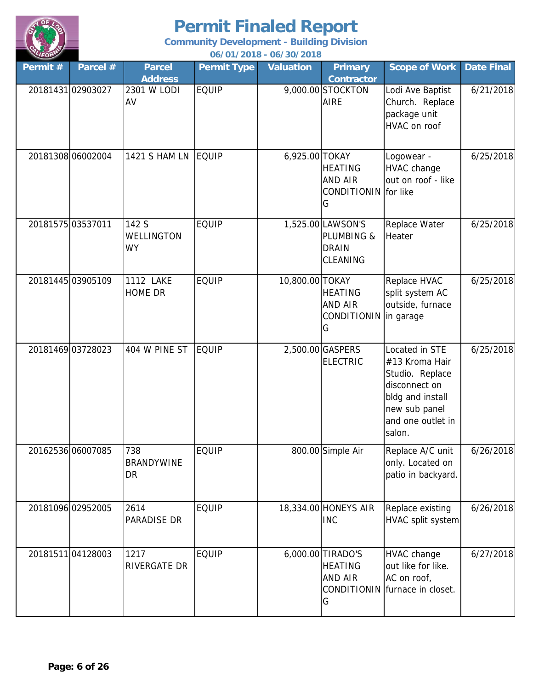

| LIFORM  |                   |                                         |                    | 06/01/2018 - 06/30/2018 |                                                                |                                                                                                                                          |                   |
|---------|-------------------|-----------------------------------------|--------------------|-------------------------|----------------------------------------------------------------|------------------------------------------------------------------------------------------------------------------------------------------|-------------------|
| Permit# | Parcel #          | <b>Parcel</b>                           | <b>Permit Type</b> | <b>Valuation</b>        | <b>Primary</b>                                                 | <b>Scope of Work</b>                                                                                                                     | <b>Date Final</b> |
|         | 20181431 02903027 | <b>Address</b><br>2301 W LODI<br>AV     | <b>EQUIP</b>       |                         | <b>Contractor</b><br>9,000.00 STOCKTON<br><b>AIRE</b>          | Lodi Ave Baptist<br>Church. Replace<br>package unit<br>HVAC on roof                                                                      | 6/21/2018         |
|         | 20181308 06002004 | <b>1421 S HAM LN</b>                    | <b>EQUIP</b>       | 6,925.00 TOKAY          | <b>HEATING</b><br><b>AND AIR</b><br>CONDITIONIN for like<br>G  | Logowear -<br><b>HVAC</b> change<br>out on roof - like                                                                                   | 6/25/2018         |
|         | 20181575 03537011 | 142 S<br><b>WELLINGTON</b><br><b>WY</b> | <b>EQUIP</b>       |                         | 1,525.00 LAWSON'S<br>PLUMBING &<br><b>DRAIN</b><br>CLEANING    | Replace Water<br>Heater                                                                                                                  | 6/25/2018         |
|         | 20181445 03905109 | <b>1112 LAKE</b><br><b>HOME DR</b>      | <b>EQUIP</b>       | 10,800.00 TOKAY         | <b>HEATING</b><br><b>AND AIR</b><br>CONDITIONIN in garage<br>G | Replace HVAC<br>split system AC<br>outside, furnace                                                                                      | 6/25/2018         |
|         | 20181469 03728023 | 404 W PINE ST                           | <b>EQUIP</b>       |                         | 2,500.00 GASPERS<br><b>ELECTRIC</b>                            | Located in STE<br>#13 Kroma Hair<br>Studio. Replace<br>disconnect on<br>bldg and install<br>new sub panel<br>and one outlet in<br>salon. | 6/25/2018         |
|         | 20162536 06007085 | 738<br><b>BRANDYWINE</b><br>DR          | <b>EQUIP</b>       |                         | 800.00 Simple Air                                              | Replace A/C unit<br>only. Located on<br>patio in backyard.                                                                               | 6/26/2018         |
|         | 20181096 02952005 | 2614<br><b>PARADISE DR</b>              | <b>EQUIP</b>       |                         | 18,334.00 HONEYS AIR<br><b>INC</b>                             | Replace existing<br>HVAC split system                                                                                                    | 6/26/2018         |
|         | 2018151104128003  | 1217<br><b>RIVERGATE DR</b>             | <b>EQUIP</b>       |                         | 6,000.00 TIRADO'S<br><b>HEATING</b><br><b>AND AIR</b><br>G     | HVAC change<br>out like for like.<br>AC on roof,<br>CONDITIONIN furnace in closet.                                                       | 6/27/2018         |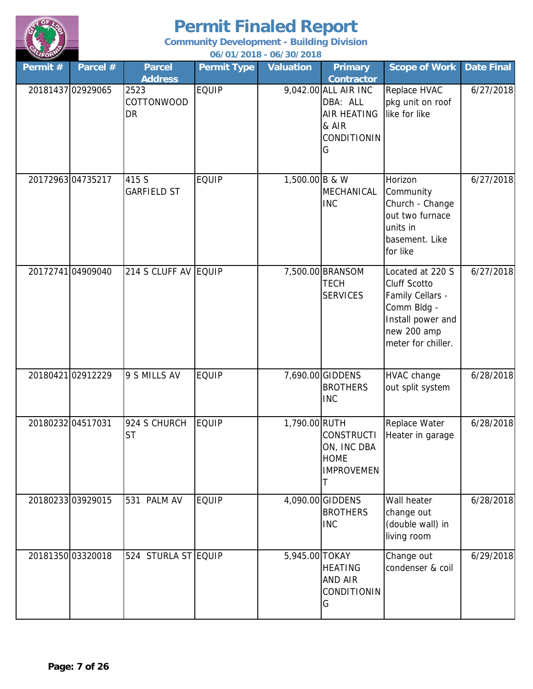

**06/01/2018 - 06/30/2018 Community Development - Building Division**

| Permit # | Parcel #          | <b>Parcel</b><br><b>Address</b> | <b>Permit Type</b> | <b>Valuation</b> | <b>Primary</b><br><b>Contractor</b>                                                 | <b>Scope of Work</b>                                                                                                                 | <b>Date Final</b> |
|----------|-------------------|---------------------------------|--------------------|------------------|-------------------------------------------------------------------------------------|--------------------------------------------------------------------------------------------------------------------------------------|-------------------|
|          | 20181437 02929065 | 2523<br>COTTONWOOD<br>DR        | <b>EQUIP</b>       |                  | 9,042.00 ALL AIR INC<br>DBA: ALL<br><b>AIR HEATING</b><br>& AIR<br>CONDITIONIN<br>G | Replace HVAC<br>pkg unit on roof<br>like for like                                                                                    | 6/27/2018         |
|          | 2017296304735217  | 415 S<br><b>GARFIELD ST</b>     | <b>EQUIP</b>       | 1,500.00 B & W   | MECHANICAL<br><b>INC</b>                                                            | Horizon<br>Community<br>Church - Change<br>out two furnace<br>units in<br>basement. Like<br>for like                                 | 6/27/2018         |
|          | 20172741 04909040 | 214 S CLUFF AV EQUIP            |                    |                  | 7,500.00 BRANSOM<br><b>TECH</b><br><b>SERVICES</b>                                  | Located at 220 S<br><b>Cluff Scotto</b><br>Family Cellars -<br>Comm Bldg -<br>Install power and<br>new 200 amp<br>meter for chiller. | 6/27/2018         |
|          | 2018042102912229  | 9 S MILLS AV                    | <b>EQUIP</b>       |                  | 7,690.00 GIDDENS<br><b>BROTHERS</b><br><b>INC</b>                                   | <b>HVAC change</b><br>out split system                                                                                               | 6/28/2018         |
|          | 20180232 04517031 | 924 S CHURCH<br><b>ST</b>       | <b>EQUIP</b>       | 1,790.00 RUTH    | <b>CONSTRUCTI</b><br>ON, INC DBA<br><b>HOME</b><br><b>IMPROVEMEN</b><br>Τ           | Replace Water<br>Heater in garage                                                                                                    | 6/28/2018         |
|          | 2018023303929015  | 531 PALM AV                     | <b>EQUIP</b>       |                  | 4,090.00 GIDDENS<br><b>BROTHERS</b><br><b>INC</b>                                   | Wall heater<br>change out<br>(double wall) in<br>living room                                                                         | 6/28/2018         |
|          | 20181350 03320018 | 524 STURLA ST EQUIP             |                    | 5,945.00 TOKAY   | <b>HEATING</b><br><b>AND AIR</b><br>CONDITIONIN<br>G                                | Change out<br>condenser & coil                                                                                                       | 6/29/2018         |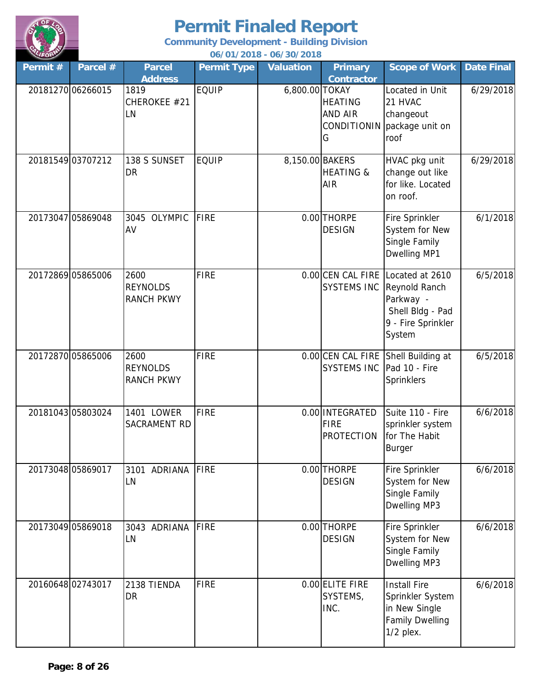

**06/01/2018 - 06/30/2018 Community Development - Building Division**

| Permit#           | Parcel #          | <b>Parcel</b><br><b>Address</b>              | <b>Permit Type</b> | <b>Valuation</b> | <b>Primary</b><br><b>Contractor</b>                  | <b>Scope of Work</b>                                                                                                | <b>Date Final</b> |
|-------------------|-------------------|----------------------------------------------|--------------------|------------------|------------------------------------------------------|---------------------------------------------------------------------------------------------------------------------|-------------------|
|                   | 2018127006266015  | 1819<br>CHEROKEE #21<br>LN                   | <b>EQUIP</b>       | 6,800.00 TOKAY   | <b>HEATING</b><br>AND AIR<br><b>CONDITIONIN</b><br>G | Located in Unit<br>21 HVAC<br>changeout<br>package unit on<br>roof                                                  | 6/29/2018         |
|                   | 20181549 03707212 | 138 S SUNSET<br><b>DR</b>                    | <b>EQUIP</b>       | 8,150.00 BAKERS  | <b>HEATING &amp;</b><br><b>AIR</b>                   | HVAC pkg unit<br>change out like<br>for like. Located<br>on roof.                                                   | 6/29/2018         |
|                   | 20173047 05869048 | 3045 OLYMPIC<br>AV                           | FIRE               |                  | 0.00 THORPE<br><b>DESIGN</b>                         | Fire Sprinkler<br>System for New<br>Single Family<br>Dwelling MP1                                                   | 6/1/2018          |
|                   | 20172869 05865006 | 2600<br><b>REYNOLDS</b><br><b>RANCH PKWY</b> | FIRE               |                  | <b>SYSTEMS INC</b>                                   | 0.00 CEN CAL FIRE Located at 2610<br>Reynold Ranch<br>Parkway -<br>Shell Bldg - Pad<br>9 - Fire Sprinkler<br>System | 6/5/2018          |
|                   | 20172870 05865006 | 2600<br><b>REYNOLDS</b><br><b>RANCH PKWY</b> | FIRE               |                  | 0.00 CEN CAL FIRE<br><b>SYSTEMS INC</b>              | Shell Building at<br>Pad 10 - Fire<br>Sprinklers                                                                    | 6/5/2018          |
| 20181043 05803024 |                   | 1401 LOWER<br>SACRAMENT RD                   | <b>FIRE</b>        |                  | 0.00 INTEGRATED<br><b>FIRE</b><br><b>PROTECTION</b>  | Suite 110 - Fire<br>sprinkler system<br>for The Habit<br>Burger                                                     | 6/6/2018          |
|                   | 20173048 05869017 | 3101 ADRIANA<br>LN                           | FIRE               |                  | 0.00 THORPE<br><b>DESIGN</b>                         | Fire Sprinkler<br>System for New<br>Single Family<br>Dwelling MP3                                                   | 6/6/2018          |
|                   | 20173049 05869018 | 3043 ADRIANA<br>LN                           | FIRE               |                  | 0.00 THORPE<br><b>DESIGN</b>                         | Fire Sprinkler<br>System for New<br>Single Family<br>Dwelling MP3                                                   | 6/6/2018          |
|                   | 2016064802743017  | 2138 TIENDA<br><b>DR</b>                     | <b>FIRE</b>        |                  | 0.00 ELITE FIRE<br>SYSTEMS,<br>INC.                  | <b>Install Fire</b><br>Sprinkler System<br>in New Single<br><b>Family Dwelling</b><br>$1/2$ plex.                   | 6/6/2018          |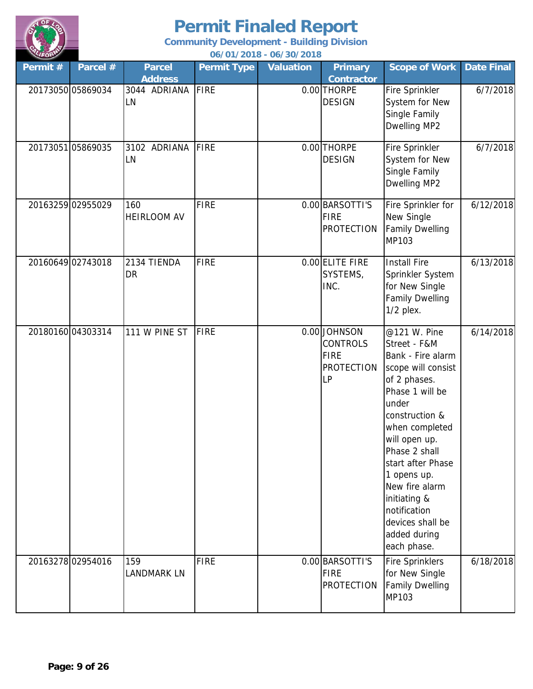

**Community Development - Building Division**

**06/01/2018 - 06/30/2018**

| Permit # | Parcel #          | <b>Parcel</b><br><b>Address</b> | <b>Permit Type</b> | <b>Valuation</b> | <b>Primary</b><br><b>Contractor</b>                                       | <b>Scope of Work</b>                                                                                                                                                                                                                                                                                                               | <b>Date Final</b> |
|----------|-------------------|---------------------------------|--------------------|------------------|---------------------------------------------------------------------------|------------------------------------------------------------------------------------------------------------------------------------------------------------------------------------------------------------------------------------------------------------------------------------------------------------------------------------|-------------------|
|          | 20173050 05869034 | 3044 ADRIANA<br>LN              | <b>FIRE</b>        |                  | 0.00 THORPE<br><b>DESIGN</b>                                              | Fire Sprinkler<br>System for New<br>Single Family<br>Dwelling MP2                                                                                                                                                                                                                                                                  | 6/7/2018          |
|          | 20173051 05869035 | 3102 ADRIANA<br>LN              | <b>FIRE</b>        |                  | 0.00 THORPE<br><b>DESIGN</b>                                              | Fire Sprinkler<br>System for New<br>Single Family<br>Dwelling MP2                                                                                                                                                                                                                                                                  | 6/7/2018          |
|          | 20163259 02955029 | 160<br><b>HEIRLOOM AV</b>       | <b>FIRE</b>        |                  | 0.00 BARSOTTI'S<br>FIRE<br><b>PROTECTION</b>                              | Fire Sprinkler for<br>New Single<br><b>Family Dwelling</b><br>MP103                                                                                                                                                                                                                                                                | 6/12/2018         |
|          | 20160649 02743018 | 2134 TIENDA<br><b>DR</b>        | <b>FIRE</b>        |                  | 0.00 ELITE FIRE<br>SYSTEMS,<br>INC.                                       | <b>Install Fire</b><br>Sprinkler System<br>for New Single<br><b>Family Dwelling</b><br>$1/2$ plex.                                                                                                                                                                                                                                 | 6/13/2018         |
|          | 2018016004303314  | 111 W PINE ST                   | FIRE               |                  | 0.00 JOHNSON<br><b>CONTROLS</b><br><b>FIRE</b><br><b>PROTECTION</b><br>LP | @121 W. Pine<br>Street - F&M<br>Bank - Fire alarm<br>scope will consist<br>of 2 phases.<br>Phase 1 will be<br>under<br>construction &<br>when completed<br>will open up.<br>Phase 2 shall<br>start after Phase<br>1 opens up.<br>New fire alarm<br>initiating &<br>notification<br>devices shall be<br>added during<br>each phase. | 6/14/2018         |
|          | 20163278 02954016 | 159<br>LANDMARK LN              | <b>FIRE</b>        |                  | 0.00 BARSOTTI'S<br><b>FIRE</b><br><b>PROTECTION</b>                       | <b>Fire Sprinklers</b><br>for New Single<br><b>Family Dwelling</b><br>MP103                                                                                                                                                                                                                                                        | 6/18/2018         |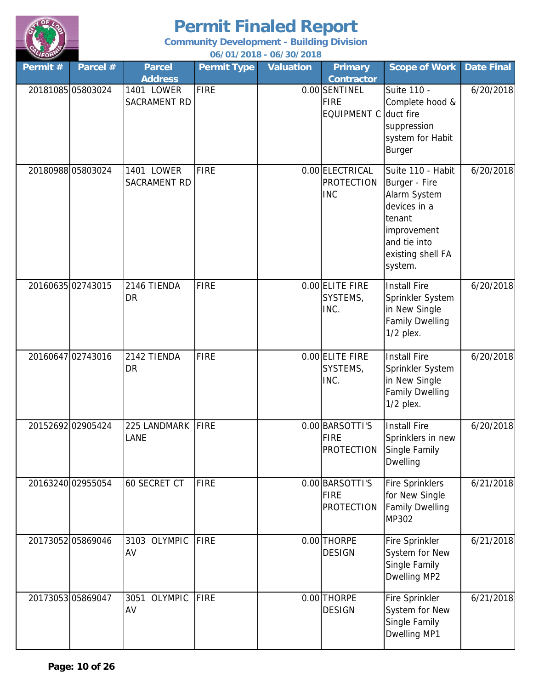

**06/01/2018 - 06/30/2018 Community Development - Building Division**

| Permit# | Parcel #          | <b>Parcel</b>                | <b>Permit Type</b> | <b>Valuation</b> | <b>Primary</b>                                      | <b>Scope of Work</b>                                                                                                                        | <b>Date Final</b> |
|---------|-------------------|------------------------------|--------------------|------------------|-----------------------------------------------------|---------------------------------------------------------------------------------------------------------------------------------------------|-------------------|
|         |                   | <b>Address</b>               |                    |                  | <b>Contractor</b>                                   |                                                                                                                                             |                   |
|         | 20181085 05803024 | 1401 LOWER<br>SACRAMENT RD   | <b>FIRE</b>        |                  | 0.00 SENTINEL<br><b>FIRE</b><br><b>EQUIPMENT C</b>  | Suite 110 -<br>Complete hood &<br>duct fire<br>suppression<br>system for Habit<br><b>Burger</b>                                             | 6/20/2018         |
|         | 20180988 05803024 | 1401 LOWER<br>SACRAMENT RD   | <b>FIRE</b>        |                  | 0.00 ELECTRICAL<br><b>PROTECTION</b><br><b>INC</b>  | Suite 110 - Habit<br>Burger - Fire<br>Alarm System<br>devices in a<br>tenant<br>improvement<br>and tie into<br>existing shell FA<br>system. | 6/20/2018         |
|         | 20160635 02743015 | 2146 TIENDA<br><b>DR</b>     | <b>FIRE</b>        |                  | 0.00 ELITE FIRE<br>SYSTEMS,<br>INC.                 | <b>Install Fire</b><br>Sprinkler System<br>in New Single<br><b>Family Dwelling</b><br>$1/2$ plex.                                           | 6/20/2018         |
|         | 20160647 02743016 | 2142 TIENDA<br>DR            | <b>FIRE</b>        |                  | 0.00 ELITE FIRE<br>SYSTEMS,<br>INC.                 | <b>Install Fire</b><br>Sprinkler System<br>in New Single<br><b>Family Dwelling</b><br>$1/2$ plex.                                           | 6/20/2018         |
|         | 20152692 02905424 | 225 LANDMARK<br>LANE         | FIRE               |                  | 0.00 BARSOTTI'S<br><b>FIRE</b><br>PROTECTION        | <b>Install Fire</b><br>Sprinklers in new<br>Single Family<br><b>Dwelling</b>                                                                | 6/20/2018         |
|         | 20163240 02955054 | <b>60 SECRET CT</b>          | <b>FIRE</b>        |                  | 0.00 BARSOTTI'S<br><b>FIRE</b><br><b>PROTECTION</b> | <b>Fire Sprinklers</b><br>for New Single<br><b>Family Dwelling</b><br>MP302                                                                 | 6/21/2018         |
|         | 20173052 05869046 | 3103 OLYMPIC<br>AV           | <b>FIRE</b>        |                  | 0.00 THORPE<br><b>DESIGN</b>                        | Fire Sprinkler<br>System for New<br>Single Family<br>Dwelling MP2                                                                           | 6/21/2018         |
|         | 20173053 05869047 | <b>OLYMPIC</b><br>3051<br>AV | <b>FIRE</b>        |                  | 0.00 THORPE<br><b>DESIGN</b>                        | Fire Sprinkler<br>System for New<br>Single Family<br>Dwelling MP1                                                                           | 6/21/2018         |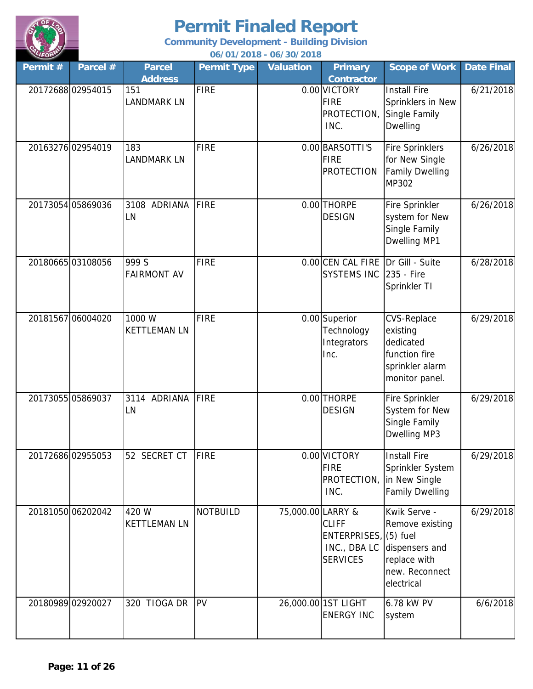

**Community Development - Building Division**

**06/01/2018 - 06/30/2018**

| Permit# | Parcel #          | Parcel<br><b>Address</b>      | <b>Permit Type</b> | <b>Valuation</b>  | <b>Primary</b><br><b>Contractor</b>                              | <b>Scope of Work</b>                                                                                           | <b>Date Final</b> |
|---------|-------------------|-------------------------------|--------------------|-------------------|------------------------------------------------------------------|----------------------------------------------------------------------------------------------------------------|-------------------|
|         | 2017268802954015  | 151<br><b>LANDMARK LN</b>     | <b>FIRE</b>        |                   | 0.00 VICTORY<br><b>FIRE</b><br>PROTECTION, Single Family<br>INC. | <b>Install Fire</b><br>Sprinklers in New<br><b>Dwelling</b>                                                    | 6/21/2018         |
|         | 20163276 02954019 | 183<br><b>LANDMARK LN</b>     | <b>FIRE</b>        |                   | 0.00 BARSOTTI'S<br><b>FIRE</b><br><b>PROTECTION</b>              | <b>Fire Sprinklers</b><br>for New Single<br><b>Family Dwelling</b><br>MP302                                    | 6/26/2018         |
|         | 20173054 05869036 | 3108 ADRIANA<br>LN            | FIRE               |                   | 0.00 THORPE<br><b>DESIGN</b>                                     | Fire Sprinkler<br>system for New<br>Single Family<br>Dwelling MP1                                              | 6/26/2018         |
|         | 2018066503108056  | 999 S<br><b>FAIRMONT AV</b>   | FIRE               |                   | 0.00 CEN CAL FIRE Dr Gill - Suite<br>SYSTEMS INC 235 - Fire      | Sprinkler TI                                                                                                   | 6/28/2018         |
|         | 20181567 06004020 | 1000 W<br><b>KETTLEMAN LN</b> | <b>FIRE</b>        |                   | 0.00 Superior<br>Technology<br>Integrators<br>Inc.               | <b>CVS-Replace</b><br>existing<br>dedicated<br>function fire<br>sprinkler alarm<br>monitor panel.              | 6/29/2018         |
|         | 20173055 05869037 | 3114 ADRIANA<br>LN            | FIRE               |                   | 0.00 THORPE<br><b>DESIGN</b>                                     | Fire Sprinkler<br>System for New<br>Single Family<br>Dwelling MP3                                              | 6/29/2018         |
|         | 20172686 02955053 | 52 SECRET CT                  | FIRE               |                   | 0.00 VICTORY<br><b>FIRE</b><br>PROTECTION, in New Single<br>INC. | <b>Install Fire</b><br>Sprinkler System<br><b>Family Dwelling</b>                                              | 6/29/2018         |
|         | 2018105006202042  | 420 W<br><b>KETTLEMAN LN</b>  | <b>NOTBUILD</b>    | 75,000.00 LARRY & | <b>CLIFF</b><br>ENTERPRISES, (5) fuel<br><b>SERVICES</b>         | Kwik Serve -<br>Remove existing<br>INC., DBA LC dispensers and<br>replace with<br>new. Reconnect<br>electrical | 6/29/2018         |
|         | 20180989 02920027 | 320 TIOGA DR                  | <b>PV</b>          |                   | 26,000.00 1ST LIGHT<br><b>ENERGY INC</b>                         | 6.78 kW PV<br>system                                                                                           | 6/6/2018          |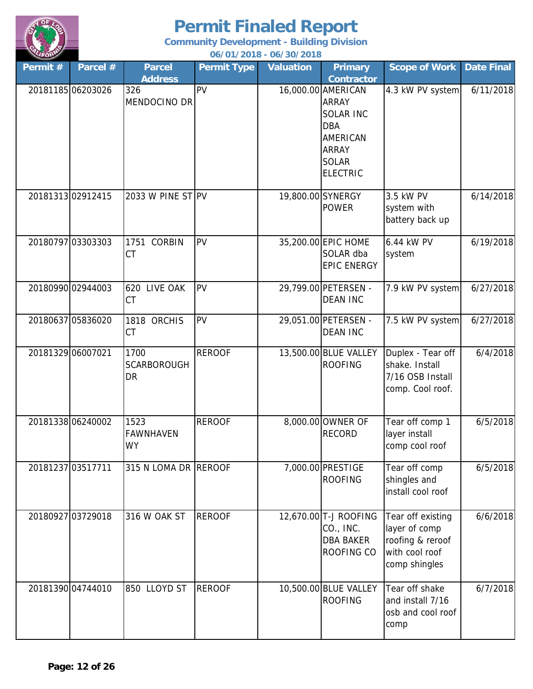

**06/01/2018 - 06/30/2018 Community Development - Building Division**

| Permit #          | Parcel #          | <b>Parcel</b><br><b>Address</b>  | <b>Permit Type</b> | <b>Valuation</b> | <b>Primary</b><br><b>Contractor</b>                                                                                                 | <b>Scope of Work</b>                                                                      | Date Final |
|-------------------|-------------------|----------------------------------|--------------------|------------------|-------------------------------------------------------------------------------------------------------------------------------------|-------------------------------------------------------------------------------------------|------------|
|                   | 20181185 06203026 | 326<br>MENDOCINO DR              | PV                 |                  | 16,000.00 AMERICAN<br><b>ARRAY</b><br><b>SOLAR INC</b><br><b>DBA</b><br>AMERICAN<br><b>ARRAY</b><br><b>SOLAR</b><br><b>ELECTRIC</b> | 4.3 kW PV system                                                                          | 6/11/2018  |
|                   | 2018131302912415  | 2033 W PINE ST PV                |                    |                  | 19,800.00 SYNERGY<br><b>POWER</b>                                                                                                   | 3.5 kW PV<br>system with<br>battery back up                                               | 6/14/2018  |
|                   | 20180797 03303303 | 1751 CORBIN<br>CT                | PV                 |                  | 35,200.00 EPIC HOME<br>SOLAR dba<br><b>EPIC ENERGY</b>                                                                              | 6.44 kW PV<br>system                                                                      | 6/19/2018  |
|                   | 20180990 02944003 | 620 LIVE OAK<br><b>CT</b>        | PV                 |                  | 29,799.00 PETERSEN -<br><b>DEAN INC</b>                                                                                             | 7.9 kW PV system                                                                          | 6/27/2018  |
|                   | 20180637 05836020 | 1818 ORCHIS<br><b>CT</b>         | PV                 |                  | 29,051.00 PETERSEN -<br><b>DEAN INC</b>                                                                                             | 7.5 kW PV system                                                                          | 6/27/2018  |
| 20181329 06007021 |                   | 1700<br><b>SCARBOROUGH</b><br>DR | <b>REROOF</b>      |                  | 13,500.00 BLUE VALLEY<br><b>ROOFING</b>                                                                                             | Duplex - Tear off<br>shake. Install<br>7/16 OSB Install<br>comp. Cool roof.               | 6/4/2018   |
|                   | 20181338 06240002 | 1523<br><b>FAWNHAVEN</b><br>WY   | <b>REROOF</b>      |                  | 8,000.00 OWNER OF<br><b>RECORD</b>                                                                                                  | Tear off comp 1<br>layer install<br>comp cool roof                                        | 6/5/2018   |
| 20181237 03517711 |                   | 315 N LOMA DR REROOF             |                    |                  | 7,000.00 PRESTIGE<br><b>ROOFING</b>                                                                                                 | Tear off comp<br>shingles and<br>install cool roof                                        | 6/5/2018   |
|                   | 20180927 03729018 | 316 W OAK ST                     | <b>REROOF</b>      |                  | 12,670.00 T-J ROOFING<br>CO., INC.<br><b>DBA BAKER</b><br>ROOFING CO                                                                | Tear off existing<br>layer of comp<br>roofing & reroof<br>with cool roof<br>comp shingles | 6/6/2018   |
|                   | 20181390 04744010 | 850 LLOYD ST                     | <b>REROOF</b>      |                  | 10,500.00 BLUE VALLEY<br><b>ROOFING</b>                                                                                             | Tear off shake<br>and install 7/16<br>osb and cool roof<br>comp                           | 6/7/2018   |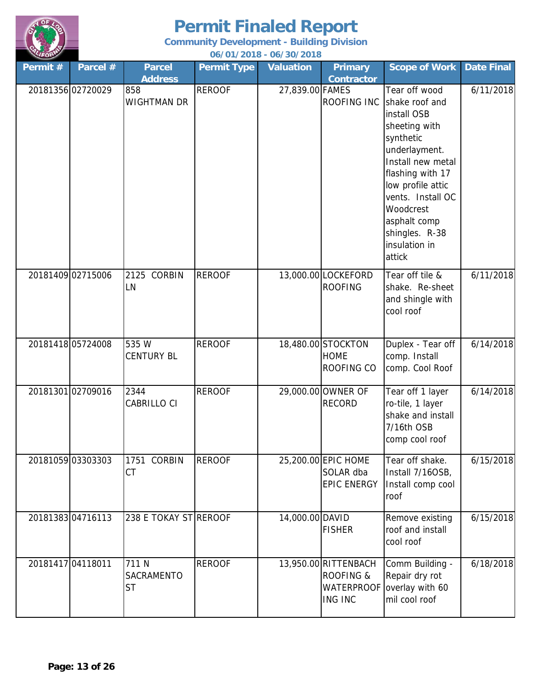

**Community Development - Building Division**

**06/01/2018 - 06/30/2018**

| Permit # | Parcel #          | <b>Parcel</b><br><b>Address</b>         | <b>Permit Type</b> | <b>Valuation</b> | <b>Primary</b><br><b>Contractor</b>                               | <b>Scope of Work</b>                                                                                                                                                                                                                                       | <b>Date Final</b> |
|----------|-------------------|-----------------------------------------|--------------------|------------------|-------------------------------------------------------------------|------------------------------------------------------------------------------------------------------------------------------------------------------------------------------------------------------------------------------------------------------------|-------------------|
|          | 20181356 02720029 | 858<br><b>WIGHTMAN DR</b>               | <b>REROOF</b>      | 27,839.00 FAMES  | ROOFING INC                                                       | Tear off wood<br>shake roof and<br>install OSB<br>sheeting with<br>synthetic<br>underlayment.<br>Install new metal<br>flashing with 17<br>low profile attic<br>vents. Install OC<br>Woodcrest<br>asphalt comp<br>shingles. R-38<br>insulation in<br>attick | 6/11/2018         |
|          | 20181409 02715006 | 2125 CORBIN<br>LN                       | <b>REROOF</b>      |                  | 13,000.00 LOCKEFORD<br><b>ROOFING</b>                             | Tear off tile &<br>shake. Re-sheet<br>and shingle with<br>cool roof                                                                                                                                                                                        | 6/11/2018         |
|          | 20181418 05724008 | 535 W<br><b>CENTURY BL</b>              | <b>REROOF</b>      |                  | 18,480.00 STOCKTON<br><b>HOME</b><br>ROOFING CO                   | Duplex - Tear off<br>comp. Install<br>comp. Cool Roof                                                                                                                                                                                                      | 6/14/2018         |
|          | 20181301 02709016 | 2344<br>CABRILLO CI                     | <b>REROOF</b>      |                  | 29,000.00 OWNER OF<br><b>RECORD</b>                               | Tear off 1 layer<br>ro-tile, 1 layer<br>shake and install<br>7/16th OSB<br>comp cool roof                                                                                                                                                                  | 6/14/2018         |
|          | 20181059 03303303 | 1751 CORBIN<br><b>CT</b>                | <b>REROOF</b>      |                  | 25,200.00 EPIC HOME<br>SOLAR dba<br><b>EPIC ENERGY</b>            | Tear off shake.<br>Install 7/16OSB,<br>Install comp cool<br>roof                                                                                                                                                                                           | 6/15/2018         |
|          | 2018138304716113  | 238 E TOKAY ST REROOF                   |                    | 14,000.00 DAVID  | <b>FISHER</b>                                                     | Remove existing<br>roof and install<br>cool roof                                                                                                                                                                                                           | 6/15/2018         |
|          | 20181417 04118011 | 711 N<br><b>SACRAMENTO</b><br><b>ST</b> | <b>REROOF</b>      |                  | 13,950.00 RITTENBACH<br>ROOFING &<br><b>WATERPROOF</b><br>ING INC | Comm Building -<br>Repair dry rot<br>overlay with 60<br>mil cool roof                                                                                                                                                                                      | 6/18/2018         |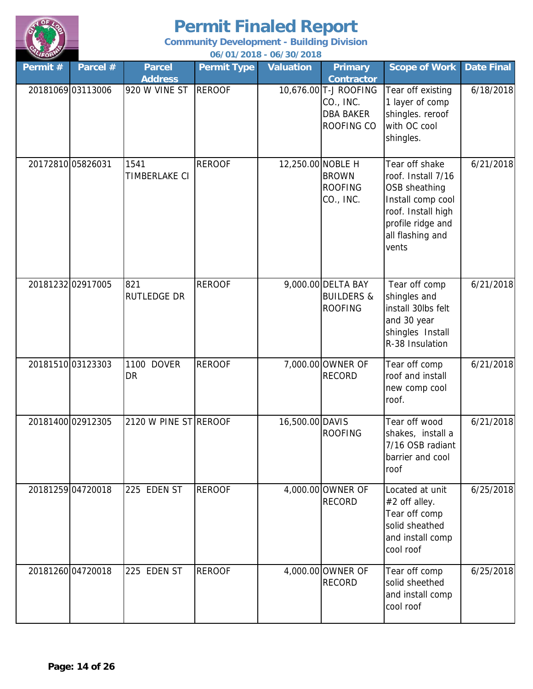

| LIFORM            |                   |                                 |                    | 06/01/2018 - 06/30/2018 |                                                                                           |                                                                                                                                                    |                   |
|-------------------|-------------------|---------------------------------|--------------------|-------------------------|-------------------------------------------------------------------------------------------|----------------------------------------------------------------------------------------------------------------------------------------------------|-------------------|
| Permit #          | Parcel #          | <b>Parcel</b>                   | <b>Permit Type</b> | <b>Valuation</b>        | <b>Primary</b>                                                                            | <b>Scope of Work</b>                                                                                                                               | <b>Date Final</b> |
|                   | 20181069 03113006 | <b>Address</b><br>920 W VINE ST | <b>REROOF</b>      |                         | <b>Contractor</b><br>10,676.00 T-J ROOFING<br>CO., INC.<br><b>DBA BAKER</b><br>ROOFING CO | Tear off existing<br>1 layer of comp<br>shingles. reroof<br>with OC cool<br>shingles.                                                              | 6/18/2018         |
| 20172810 05826031 |                   | 1541<br>TIMBERLAKE CI           | <b>REROOF</b>      | 12,250.00 NOBLE H       | <b>BROWN</b><br><b>ROOFING</b><br>CO., INC.                                               | Tear off shake<br>roof. Install 7/16<br>OSB sheathing<br>Install comp cool<br>roof. Install high<br>profile ridge and<br>all flashing and<br>vents | 6/21/2018         |
|                   | 2018123202917005  | 821<br><b>RUTLEDGE DR</b>       | <b>REROOF</b>      |                         | 9,000.00 DELTA BAY<br><b>BUILDERS &amp;</b><br><b>ROOFING</b>                             | Tear off comp<br>shingles and<br>install 30lbs felt<br>and 30 year<br>shingles Install<br>R-38 Insulation                                          | 6/21/2018         |
|                   | 2018151003123303  | 1100 DOVER<br><b>DR</b>         | <b>REROOF</b>      |                         | 7,000.00 OWNER OF<br><b>RECORD</b>                                                        | Tear off comp<br>roof and install<br>new comp cool<br>roof.                                                                                        | 6/21/2018         |
|                   | 20181400 02912305 | 2120 W PINE ST REROOF           |                    | 16,500.00 DAVIS         | <b>ROOFING</b>                                                                            | Tear off wood<br>shakes, install a<br>7/16 OSB radiant<br>barrier and cool<br>roof                                                                 | 6/21/2018         |
|                   | 20181259 04720018 | 225 EDEN ST                     | <b>REROOF</b>      |                         | 4,000.00 OWNER OF<br><b>RECORD</b>                                                        | Located at unit<br>#2 off alley.<br>Tear off comp<br>solid sheathed<br>and install comp<br>cool roof                                               | 6/25/2018         |
| 20181260 04720018 |                   | 225 EDEN ST                     | <b>REROOF</b>      |                         | 4,000.00 OWNER OF<br><b>RECORD</b>                                                        | Tear off comp<br>solid sheethed<br>and install comp<br>cool roof                                                                                   | 6/25/2018         |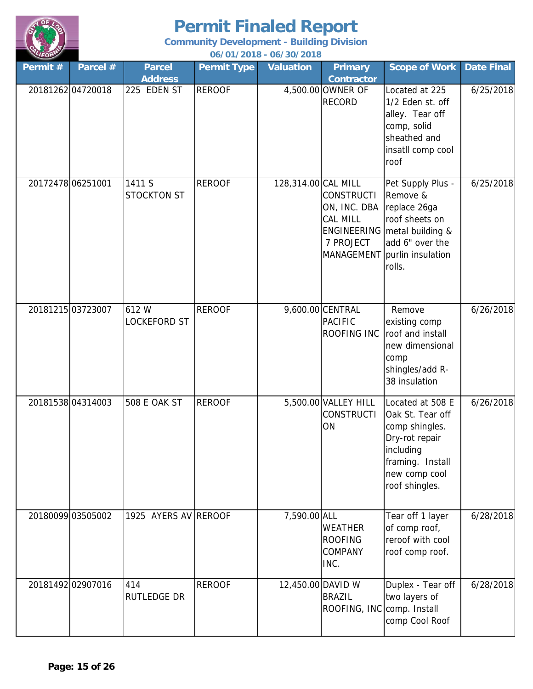

| LIFORM            |          |                                 |                    | 06/01/2018 - 06/30/2018 |                                                            |                                                                                                                                                                |                   |
|-------------------|----------|---------------------------------|--------------------|-------------------------|------------------------------------------------------------|----------------------------------------------------------------------------------------------------------------------------------------------------------------|-------------------|
| Permit #          | Parcel # | <b>Parcel</b><br><b>Address</b> | <b>Permit Type</b> | <b>Valuation</b>        | <b>Primary</b><br><b>Contractor</b>                        | <b>Scope of Work</b>                                                                                                                                           | <b>Date Final</b> |
| 2018126204720018  |          | 225 EDEN ST                     | <b>REROOF</b>      |                         | 4,500.00 OWNER OF<br><b>RECORD</b>                         | Located at 225<br>1/2 Eden st. off<br>alley. Tear off<br>comp, solid<br>sheathed and<br>insatll comp cool<br>roof                                              | 6/25/2018         |
| 20172478 06251001 |          | 1411 S<br><b>STOCKTON ST</b>    | <b>REROOF</b>      | 128,314.00 CAL MILL     | <b>CONSTRUCTI</b><br>ON, INC. DBA<br>CAL MILL<br>7 PROJECT | Pet Supply Plus -<br>Remove &<br>replace 26ga<br>roof sheets on<br>ENGINEERING   metal building &<br>add 6" over the<br>MANAGEMENT purlin insulation<br>rolls. | 6/25/2018         |
| 20181215 03723007 |          | 612W<br><b>LOCKEFORD ST</b>     | <b>REROOF</b>      |                         | 9,600.00 CENTRAL<br><b>PACIFIC</b><br>ROOFING INC          | Remove<br>existing comp<br>roof and install<br>new dimensional<br>comp<br>shingles/add R-<br>38 insulation                                                     | 6/26/2018         |
| 20181538 04314003 |          | <b>508 E OAK ST</b>             | <b>REROOF</b>      |                         | 5,500.00 VALLEY HILL<br><b>CONSTRUCTI</b><br>ON            | Located at 508 E<br>Oak St. Tear off<br>comp shingles.<br>Dry-rot repair<br>including<br>framing. Install<br>new comp cool<br>roof shingles.                   | 6/26/2018         |
| 20180099 03505002 |          | 1925 AYERS AV REROOF            |                    | 7,590.00 ALL            | WEATHER<br><b>ROOFING</b><br><b>COMPANY</b><br>INC.        | Tear off 1 layer<br>of comp roof,<br>reroof with cool<br>roof comp roof.                                                                                       | 6/28/2018         |
| 20181492 02907016 |          | 414<br><b>RUTLEDGE DR</b>       | <b>REROOF</b>      | 12,450.00 DAVID W       | <b>BRAZIL</b><br>ROOFING, INC comp. Install                | Duplex - Tear off<br>two layers of<br>comp Cool Roof                                                                                                           | 6/28/2018         |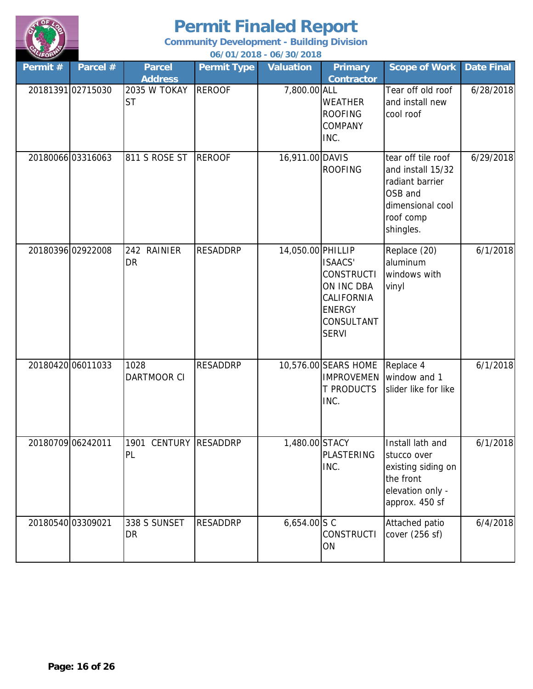

| LIFORM            |                   |                                 |                    | 06/01/2018 - 06/30/2018 |                                                                                                                |                                                                                                                     |                   |
|-------------------|-------------------|---------------------------------|--------------------|-------------------------|----------------------------------------------------------------------------------------------------------------|---------------------------------------------------------------------------------------------------------------------|-------------------|
| Permit#           | Parcel #          | <b>Parcel</b><br><b>Address</b> | <b>Permit Type</b> | <b>Valuation</b>        | <b>Primary</b><br><b>Contractor</b>                                                                            | <b>Scope of Work</b>                                                                                                | <b>Date Final</b> |
|                   | 20181391 02715030 | 2035 W TOKAY<br><b>ST</b>       | <b>REROOF</b>      | 7,800.00 ALL            | <b>WEATHER</b><br><b>ROOFING</b><br>COMPANY<br>INC.                                                            | Tear off old roof<br>and install new<br>cool roof                                                                   | 6/28/2018         |
|                   | 2018006603316063  | 811 S ROSE ST                   | <b>REROOF</b>      | 16,911.00 DAVIS         | <b>ROOFING</b>                                                                                                 | tear off tile roof<br>and install 15/32<br>radiant barrier<br>OSB and<br>dimensional cool<br>roof comp<br>shingles. | 6/29/2018         |
| 20180396 02922008 |                   | 242 RAINIER<br><b>DR</b>        | <b>RESADDRP</b>    | 14,050.00 PHILLIP       | <b>ISAACS'</b><br><b>CONSTRUCTI</b><br>ON INC DBA<br>CALIFORNIA<br><b>ENERGY</b><br>CONSULTANT<br><b>SERVI</b> | Replace (20)<br>aluminum<br>windows with<br>vinyl                                                                   | 6/1/2018          |
| 20180420 06011033 |                   | 1028<br>DARTMOOR CI             | <b>RESADDRP</b>    |                         | 10,576.00 SEARS HOME<br><b>IMPROVEMEN</b><br><b>T PRODUCTS</b><br>INC.                                         | Replace 4<br>window and 1<br>slider like for like                                                                   | 6/1/2018          |
|                   | 20180709 06242011 | 1901 CENTURY RESADDRP<br>PL     |                    | 1,480.00 STACY          | <b>PLASTERING</b><br>INC.                                                                                      | Install lath and<br>stucco over<br>existing siding on<br>the front<br>elevation only -<br>approx. 450 sf            | 6/1/2018          |
| 20180540 03309021 |                   | 338 S SUNSET<br><b>DR</b>       | <b>RESADDRP</b>    | $6,654.00$ S C          | <b>CONSTRUCTI</b><br>ON                                                                                        | Attached patio<br>cover (256 sf)                                                                                    | 6/4/2018          |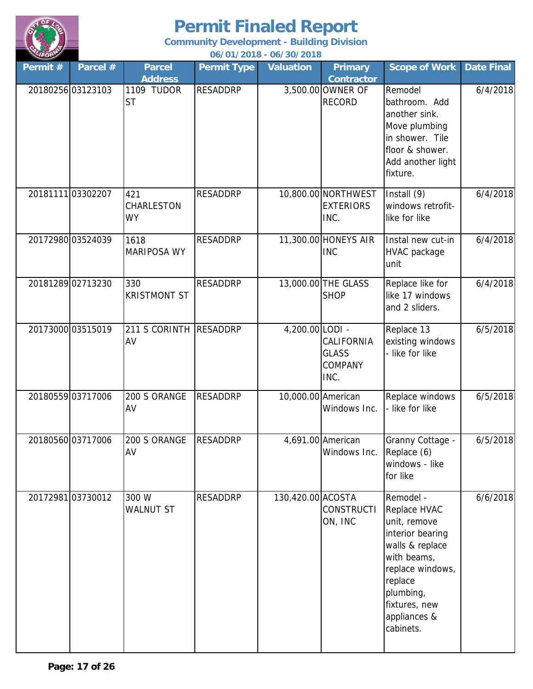

| LIFORM  |                   |                                           |                    | 06/01/2018 - 06/30/2018 |                                                         |                                                                                                                                                                                           |                   |
|---------|-------------------|-------------------------------------------|--------------------|-------------------------|---------------------------------------------------------|-------------------------------------------------------------------------------------------------------------------------------------------------------------------------------------------|-------------------|
| Permit# | Parcel #          | <b>Parcel</b>                             | <b>Permit Type</b> | <b>Valuation</b>        | <b>Primary</b>                                          | <b>Scope of Work</b>                                                                                                                                                                      | <b>Date Final</b> |
|         | 20180256 03123103 | <b>Address</b><br>1109 TUDOR<br><b>ST</b> | <b>RESADDRP</b>    |                         | <b>Contractor</b><br>3,500.00 OWNER OF<br><b>RECORD</b> | Remodel<br>bathroom. Add<br>another sink.<br>Move plumbing<br>in shower. Tile<br>floor & shower.<br>Add another light<br>fixture.                                                         | 6/4/2018          |
|         | 20181111 03302207 | 421<br><b>CHARLESTON</b><br><b>WY</b>     | <b>RESADDRP</b>    |                         | 10,800.00 NORTHWEST<br><b>EXTERIORS</b><br>INC.         | Install (9)<br>windows retrofit-<br>like for like                                                                                                                                         | 6/4/2018          |
|         | 20172980 03524039 | 1618<br><b>MARIPOSA WY</b>                | <b>RESADDRP</b>    |                         | 11,300.00 HONEYS AIR<br><b>INC</b>                      | Instal new cut-in<br><b>HVAC</b> package<br>unit                                                                                                                                          | 6/4/2018          |
|         | 2018128902713230  | 330<br><b>KRISTMONT ST</b>                | <b>RESADDRP</b>    |                         | 13,000.00 THE GLASS<br><b>SHOP</b>                      | Replace like for<br>like 17 windows<br>and 2 sliders.                                                                                                                                     | 6/4/2018          |
|         | 20173000 03515019 | 211 S CORINTH<br>AV                       | <b>RESADDRP</b>    | $4,200.00$ LODI -       | CALIFORNIA<br><b>GLASS</b><br><b>COMPANY</b><br>INC.    | Replace 13<br>existing windows<br>- like for like                                                                                                                                         | 6/5/2018          |
|         | 20180559 03717006 | 200 S ORANGE<br>AV                        | <b>RESADDRP</b>    | 10,000.00 American      | Windows Inc.                                            | Replace windows<br>like for like                                                                                                                                                          | 6/5/2018          |
|         | 2018056003717006  | 200 S ORANGE<br>AV                        | <b>RESADDRP</b>    |                         | 4,691.00 American<br>Windows Inc.                       | Granny Cottage -<br>Replace (6)<br>windows - like<br>for like                                                                                                                             | 6/5/2018          |
|         | 20172981 03730012 | 300 W<br><b>WALNUT ST</b>                 | <b>RESADDRP</b>    | 130,420.00 ACOSTA       | <b>CONSTRUCTI</b><br>ON, INC                            | Remodel -<br>Replace HVAC<br>unit, remove<br>interior bearing<br>walls & replace<br>with beams,<br>replace windows,<br>replace<br>plumbing,<br>fixtures, new<br>appliances &<br>cabinets. | 6/6/2018          |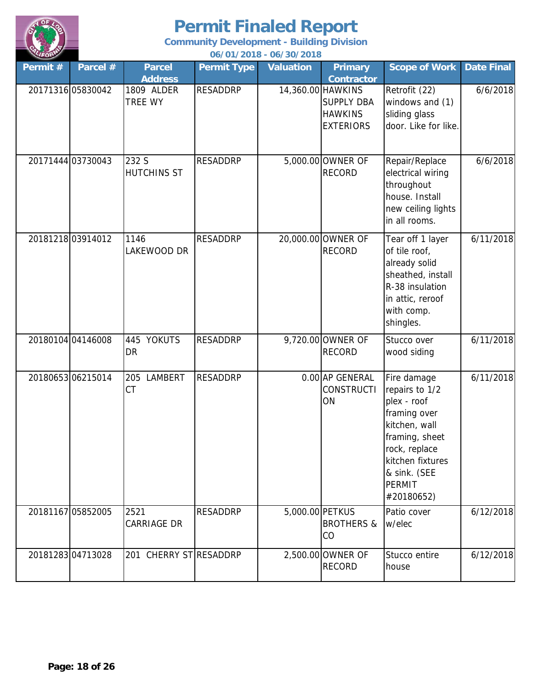

| LIFORM  |                   |                                 |                    | 06/01/2018 - 06/30/2018 |                                                                              |                                                                                                                                                                                     |                   |
|---------|-------------------|---------------------------------|--------------------|-------------------------|------------------------------------------------------------------------------|-------------------------------------------------------------------------------------------------------------------------------------------------------------------------------------|-------------------|
| Permit# | Parcel #          | <b>Parcel</b><br><b>Address</b> | <b>Permit Type</b> | <b>Valuation</b>        | <b>Primary</b><br><b>Contractor</b>                                          | <b>Scope of Work</b>                                                                                                                                                                | <b>Date Final</b> |
|         | 20171316 05830042 | 1809 ALDER<br>TREE WY           | <b>RESADDRP</b>    |                         | 14,360.00 HAWKINS<br><b>SUPPLY DBA</b><br><b>HAWKINS</b><br><b>EXTERIORS</b> | Retrofit (22)<br>windows and (1)<br>sliding glass<br>door. Like for like.                                                                                                           | 6/6/2018          |
|         | 20171444 03730043 | 232 S<br><b>HUTCHINS ST</b>     | <b>RESADDRP</b>    |                         | 5,000.00 OWNER OF<br><b>RECORD</b>                                           | Repair/Replace<br>electrical wiring<br>throughout<br>house. Install<br>new ceiling lights<br>in all rooms.                                                                          | 6/6/2018          |
|         | 2018121803914012  | 1146<br>LAKEWOOD DR             | <b>RESADDRP</b>    |                         | 20,000.00 OWNER OF<br><b>RECORD</b>                                          | Tear off 1 layer<br>of tile roof,<br>already solid<br>sheathed, install<br>R-38 insulation<br>in attic, reroof<br>with comp.<br>shingles.                                           | 6/11/2018         |
|         | 20180104 04146008 | 445 YOKUTS<br><b>DR</b>         | <b>RESADDRP</b>    |                         | 9,720.00 OWNER OF<br><b>RECORD</b>                                           | Stucco over<br>wood siding                                                                                                                                                          | 6/11/2018         |
|         | 2018065306215014  | LAMBERT<br>205<br><b>CT</b>     | <b>RESADDRP</b>    |                         | 0.00 AP GENERAL<br><b>CONSTRUCTI</b><br>ON                                   | Fire damage<br>repairs to 1/2<br>plex - roof<br>framing over<br>kitchen, wall<br>framing, sheet<br>rock, replace<br>kitchen fixtures<br>& sink. (SEE<br><b>PERMIT</b><br>#20180652) | 6/11/2018         |
|         | 20181167 05852005 | 2521<br><b>CARRIAGE DR</b>      | <b>RESADDRP</b>    | 5,000.00 PETKUS         | <b>BROTHERS &amp;</b><br>CO                                                  | Patio cover<br>w/elec                                                                                                                                                               | 6/12/2018         |
|         | 2018128304713028  | 201 CHERRY STRESADDRP           |                    |                         | 2,500.00 OWNER OF<br><b>RECORD</b>                                           | Stucco entire<br>house                                                                                                                                                              | 6/12/2018         |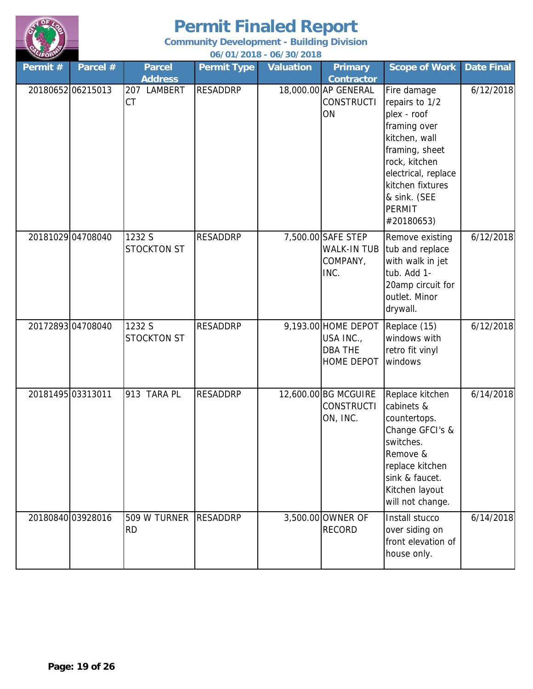

| ALIFORN           |                   |                                            |                    | 06/01/2018 - 06/30/2018 |                                                                         |                                                                                                                                                                                                            |                   |
|-------------------|-------------------|--------------------------------------------|--------------------|-------------------------|-------------------------------------------------------------------------|------------------------------------------------------------------------------------------------------------------------------------------------------------------------------------------------------------|-------------------|
| Permit $#$        | Parcel #          | <b>Parcel</b>                              | <b>Permit Type</b> | <b>Valuation</b>        | <b>Primary</b>                                                          | <b>Scope of Work</b>                                                                                                                                                                                       | <b>Date Final</b> |
|                   | 2018065206215013  | <b>Address</b><br>207 LAMBERT<br><b>CT</b> | <b>RESADDRP</b>    |                         | <b>Contractor</b><br>18,000.00 AP GENERAL<br><b>CONSTRUCTI</b><br>ON    | Fire damage<br>repairs to 1/2<br>plex - roof<br>framing over<br>kitchen, wall<br>framing, sheet<br>rock, kitchen<br>electrical, replace<br>kitchen fixtures<br>& sink. (SEE<br><b>PERMIT</b><br>#20180653) | 6/12/2018         |
|                   | 20181029 04708040 | 1232 S<br><b>STOCKTON ST</b>               | <b>RESADDRP</b>    |                         | 7,500.00 SAFE STEP<br><b>WALK-IN TUB</b><br>COMPANY,<br>INC.            | Remove existing<br>tub and replace<br>with walk in jet<br>tub. Add 1-<br>20amp circuit for<br>outlet. Minor<br>drywall.                                                                                    | 6/12/2018         |
|                   | 20172893 04708040 | 1232 S<br><b>STOCKTON ST</b>               | <b>RESADDRP</b>    |                         | 9,193.00 HOME DEPOT<br>USA INC.,<br><b>DBA THE</b><br><b>HOME DEPOT</b> | Replace (15)<br>windows with<br>retro fit vinyl<br>windows                                                                                                                                                 | 6/12/2018         |
| 20181495 03313011 |                   | 913 TARA PL                                | <b>RESADDRP</b>    |                         | 12,600.00 BG MCGUIRE<br><b>CONSTRUCTI</b><br>ON, INC.                   | Replace kitchen<br>cabinets &<br>countertops.<br>Change GFCI's &<br>switches.<br>Remove &<br>replace kitchen<br>sink & faucet.<br>Kitchen layout<br>will not change.                                       | 6/14/2018         |
|                   | 20180840 03928016 | 509 W TURNER<br><b>RD</b>                  | <b>RESADDRP</b>    |                         | 3,500.00 OWNER OF<br><b>RECORD</b>                                      | Install stucco<br>over siding on<br>front elevation of<br>house only.                                                                                                                                      | 6/14/2018         |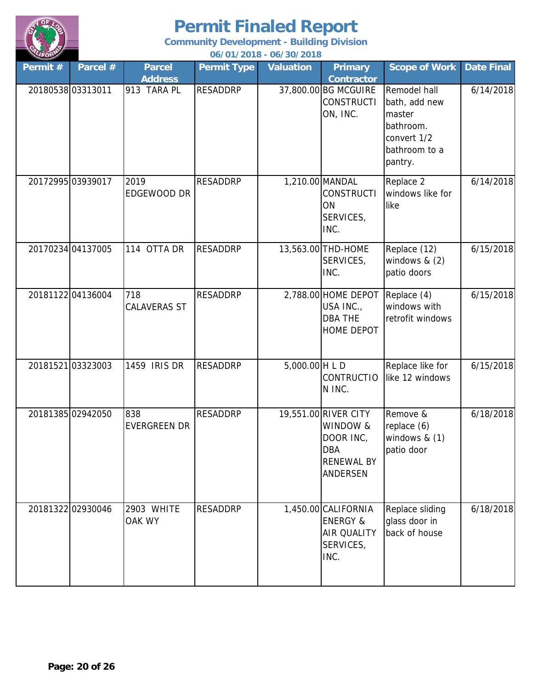

| LIFORM  |                   |                            |                    | 06/01/2018 - 06/30/2018 |                                                                                                     |                                                                                                 |                   |
|---------|-------------------|----------------------------|--------------------|-------------------------|-----------------------------------------------------------------------------------------------------|-------------------------------------------------------------------------------------------------|-------------------|
| Permit# | Parcel #          | <b>Parcel</b>              | <b>Permit Type</b> | <b>Valuation</b>        | <b>Primary</b>                                                                                      | <b>Scope of Work</b>                                                                            | <b>Date Final</b> |
|         |                   | <b>Address</b>             |                    |                         | <b>Contractor</b>                                                                                   |                                                                                                 |                   |
|         | 20180538 03313011 | 913 TARA PL                | <b>RESADDRP</b>    |                         | 37,800.00 BG MCGUIRE<br><b>CONSTRUCTI</b><br>ON, INC.                                               | Remodel hall<br>bath, add new<br>master<br>bathroom.<br>convert 1/2<br>bathroom to a<br>pantry. | 6/14/2018         |
|         | 20172995 03939017 | 2019<br>EDGEWOOD DR        | <b>RESADDRP</b>    |                         | 1,210.00 MANDAL<br><b>CONSTRUCTI</b><br>ON<br>SERVICES,<br>INC.                                     | Replace 2<br>windows like for<br>like                                                           | 6/14/2018         |
|         | 20170234 04137005 | 114 OTTA DR                | <b>RESADDRP</b>    |                         | 13,563.00 THD-HOME<br>SERVICES,<br>INC.                                                             | Replace (12)<br>windows & (2)<br>patio doors                                                    | 6/15/2018         |
|         | 2018112204136004  | 718<br><b>CALAVERAS ST</b> | <b>RESADDRP</b>    |                         | 2,788.00 HOME DEPOT<br>USA INC.,<br><b>DBA THE</b><br><b>HOME DEPOT</b>                             | Replace (4)<br>windows with<br>retrofit windows                                                 | 6/15/2018         |
|         | 2018152103323003  | 1459 IRIS DR               | <b>RESADDRP</b>    | $5,000.00$ H L D        | <b>CONTRUCTIO</b><br>N INC.                                                                         | Replace like for<br>like 12 windows                                                             | 6/15/2018         |
|         | 20181385 02942050 | 838<br><b>EVERGREEN DR</b> | <b>RESADDRP</b>    |                         | 19,551.00 RIVER CITY<br>WINDOW &<br>DOOR INC,<br><b>DBA</b><br><b>RENEWAL BY</b><br><b>ANDERSEN</b> | Remove &<br>replace (6)<br>windows $& (1)$<br>patio door                                        | 6/18/2018         |
|         | 20181322 02930046 | 2903 WHITE<br>OAK WY       | <b>RESADDRP</b>    |                         | 1,450.00 CALIFORNIA<br><b>ENERGY &amp;</b><br><b>AIR QUALITY</b><br>SERVICES,<br>INC.               | Replace sliding<br>glass door in<br>back of house                                               | 6/18/2018         |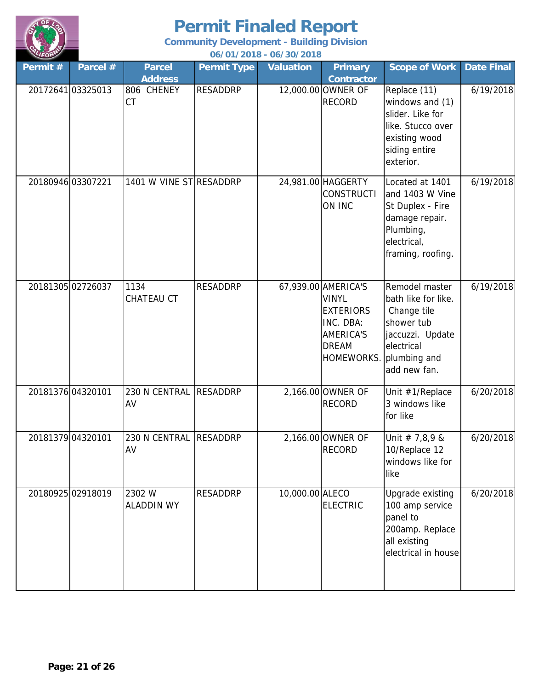

| LIFORM            |                   |                                    |                    | 06/01/2018 - 06/30/2018 |                                                                                                                              |                                                                                                                                      |                   |
|-------------------|-------------------|------------------------------------|--------------------|-------------------------|------------------------------------------------------------------------------------------------------------------------------|--------------------------------------------------------------------------------------------------------------------------------------|-------------------|
| Permit#           | Parcel #          | <b>Parcel</b>                      | <b>Permit Type</b> | <b>Valuation</b>        | <b>Primary</b>                                                                                                               | <b>Scope of Work</b>                                                                                                                 | <b>Date Final</b> |
|                   | 20172641 03325013 | <b>Address</b><br>806 CHENEY<br>CT | <b>RESADDRP</b>    |                         | <b>Contractor</b><br>12,000.00 OWNER OF<br><b>RECORD</b>                                                                     | Replace (11)<br>windows and (1)<br>slider. Like for<br>like. Stucco over<br>existing wood<br>siding entire<br>exterior.              | 6/19/2018         |
| 20180946 03307221 |                   | 1401 W VINE STRESADDRP             |                    |                         | 24,981.00 HAGGERTY<br><b>CONSTRUCTI</b><br>ON INC                                                                            | Located at 1401<br>and 1403 W Vine<br>St Duplex - Fire<br>damage repair.<br>Plumbing,<br>electrical,<br>framing, roofing.            | 6/19/2018         |
|                   | 20181305 02726037 | 1134<br>CHATEAU CT                 | <b>RESADDRP</b>    |                         | 67,939.00 AMERICA'S<br><b>VINYL</b><br><b>EXTERIORS</b><br>INC. DBA:<br><b>AMERICA'S</b><br><b>DREAM</b><br><b>HOMEWORKS</b> | Remodel master<br>bath like for like.<br>Change tile<br>shower tub<br>jaccuzzi. Update<br>electrical<br>plumbing and<br>add new fan. | 6/19/2018         |
| 20181376 04320101 |                   | 230 N CENTRAL<br>AV                | <b>RESADDRP</b>    |                         | 2,166.00 OWNER OF<br><b>RECORD</b>                                                                                           | Unit #1/Replace<br>3 windows like<br>for like                                                                                        | 6/20/2018         |
| 20181379 04320101 |                   | 230 N CENTRAL RESADDRP<br>AV       |                    |                         | 2,166.00 OWNER OF<br><b>RECORD</b>                                                                                           | Unit # $7,8,9$ &<br>10/Replace 12<br>windows like for<br>like                                                                        | 6/20/2018         |
|                   | 20180925 02918019 | 2302W<br><b>ALADDIN WY</b>         | <b>RESADDRP</b>    | 10,000.00 ALECO         | <b>ELECTRIC</b>                                                                                                              | Upgrade existing<br>100 amp service<br>panel to<br>200amp. Replace<br>all existing<br>electrical in house                            | 6/20/2018         |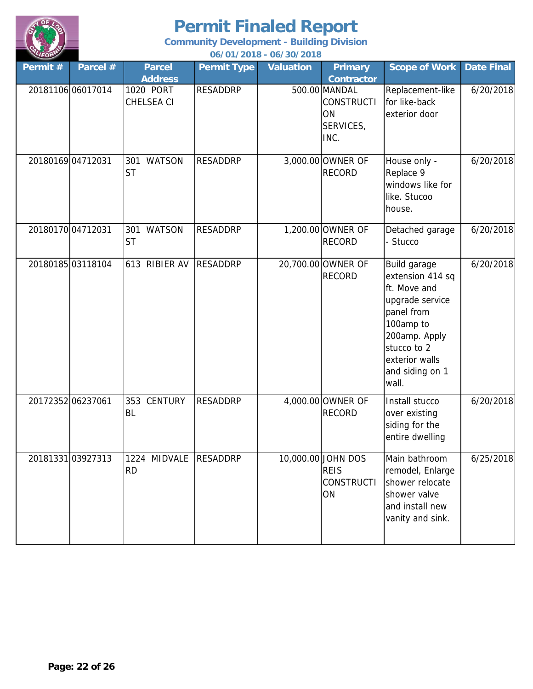

| LIFORM            |                   |                                   |                    | 06/01/2018 - 06/30/2018 |                                                               |                                                                                                                                                                              |                   |
|-------------------|-------------------|-----------------------------------|--------------------|-------------------------|---------------------------------------------------------------|------------------------------------------------------------------------------------------------------------------------------------------------------------------------------|-------------------|
| Permit #          | Parcel #          | <b>Parcel</b><br><b>Address</b>   | <b>Permit Type</b> | <b>Valuation</b>        | <b>Primary</b><br><b>Contractor</b>                           | <b>Scope of Work</b>                                                                                                                                                         | <b>Date Final</b> |
|                   | 20181106 06017014 | 1020 PORT<br><b>CHELSEA CI</b>    | <b>RESADDRP</b>    |                         | 500.00 MANDAL<br><b>CONSTRUCTI</b><br>ON<br>SERVICES,<br>INC. | Replacement-like<br>for like-back<br>exterior door                                                                                                                           | 6/20/2018         |
| 20180169 04712031 |                   | 301 WATSON<br><b>ST</b>           | <b>RESADDRP</b>    |                         | 3,000.00 OWNER OF<br><b>RECORD</b>                            | House only -<br>Replace 9<br>windows like for<br>like. Stucoo<br>house.                                                                                                      | 6/20/2018         |
| 2018017004712031  |                   | <b>WATSON</b><br>301<br><b>ST</b> | <b>RESADDRP</b>    |                         | 1,200.00 OWNER OF<br><b>RECORD</b>                            | Detached garage<br>- Stucco                                                                                                                                                  | 6/20/2018         |
|                   | 2018018503118104  | 613 RIBIER AV                     | <b>RESADDRP</b>    |                         | 20,700.00 OWNER OF<br><b>RECORD</b>                           | Build garage<br>extension 414 sq<br>ft. Move and<br>upgrade service<br>panel from<br>100amp to<br>200amp. Apply<br>stucco to 2<br>exterior walls<br>and siding on 1<br>wall. | 6/20/2018         |
| 20172352 06237061 |                   | 353 CENTURY<br><b>BL</b>          | <b>RESADDRP</b>    |                         | 4,000.00 OWNER OF<br><b>RECORD</b>                            | Install stucco<br>over existing<br>siding for the<br>entire dwelling                                                                                                         | 6/20/2018         |
|                   | 2018133103927313  | 1224 MIDVALE<br><b>RD</b>         | <b>RESADDRP</b>    |                         | 10,000.00 JOHN DOS<br><b>REIS</b><br><b>CONSTRUCTI</b><br>ON  | Main bathroom<br>remodel, Enlarge<br>shower relocate<br>shower valve<br>and install new<br>vanity and sink.                                                                  | 6/25/2018         |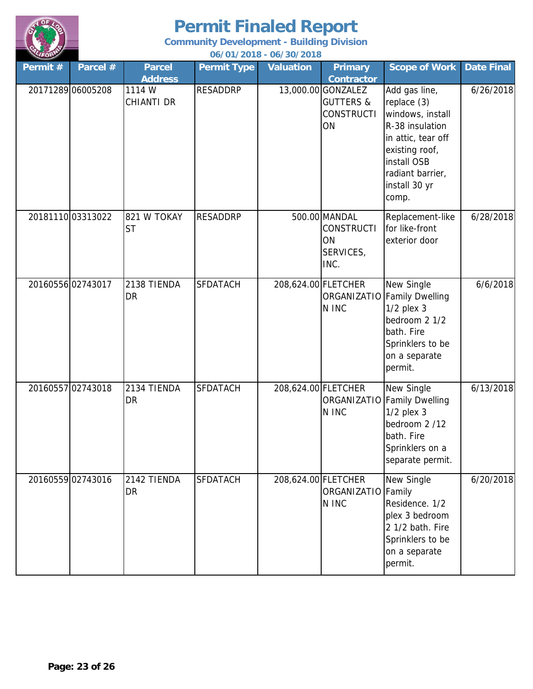

| LIFORM   |                   |                                               |                    | 06/01/2018 - 06/30/2018 |                                                                                            |                                                                                                                                                                          |                   |
|----------|-------------------|-----------------------------------------------|--------------------|-------------------------|--------------------------------------------------------------------------------------------|--------------------------------------------------------------------------------------------------------------------------------------------------------------------------|-------------------|
| Permit # | Parcel #          | <b>Parcel</b>                                 | <b>Permit Type</b> | <b>Valuation</b>        | <b>Primary</b>                                                                             | <b>Scope of Work</b>                                                                                                                                                     | <b>Date Final</b> |
|          | 20171289 06005208 | <b>Address</b><br>1114 W<br><b>CHIANTI DR</b> | <b>RESADDRP</b>    |                         | <b>Contractor</b><br>13,000.00 GONZALEZ<br><b>GUTTERS &amp;</b><br><b>CONSTRUCTI</b><br>ON | Add gas line,<br>replace (3)<br>windows, install<br>R-38 insulation<br>in attic, tear off<br>existing roof,<br>install OSB<br>radiant barrier,<br>install 30 yr<br>comp. | 6/26/2018         |
|          | 2018111003313022  | 821 W TOKAY<br><b>ST</b>                      | <b>RESADDRP</b>    |                         | 500.00 MANDAL<br><b>CONSTRUCTI</b><br>ON<br>SERVICES,<br>INC.                              | Replacement-like<br>for like-front<br>exterior door                                                                                                                      | 6/28/2018         |
|          | 2016055602743017  | 2138 TIENDA<br>DR                             | <b>SFDATACH</b>    | 208,624.00 FLETCHER     | N INC                                                                                      | New Single<br>ORGANIZATIO Family Dwelling<br>$1/2$ plex $3$<br>bedroom 2 1/2<br>bath. Fire<br>Sprinklers to be<br>on a separate<br>permit.                               | 6/6/2018          |
|          | 20160557 02743018 | 2134 TIENDA<br><b>DR</b>                      | <b>SFDATACH</b>    | 208,624.00 FLETCHER     | N INC                                                                                      | New Single<br>ORGANIZATIO Family Dwelling<br>$1/2$ plex $3$<br>bedroom 2 /12<br>bath. Fire<br>Sprinklers on a<br>separate permit.                                        | 6/13/2018         |
|          | 2016055902743016  | 2142 TIENDA<br><b>DR</b>                      | <b>SFDATACH</b>    | 208,624.00 FLETCHER     | ORGANIZATIO Family<br>N INC                                                                | New Single<br>Residence. 1/2<br>plex 3 bedroom<br>2 1/2 bath. Fire<br>Sprinklers to be<br>on a separate<br>permit.                                                       | 6/20/2018         |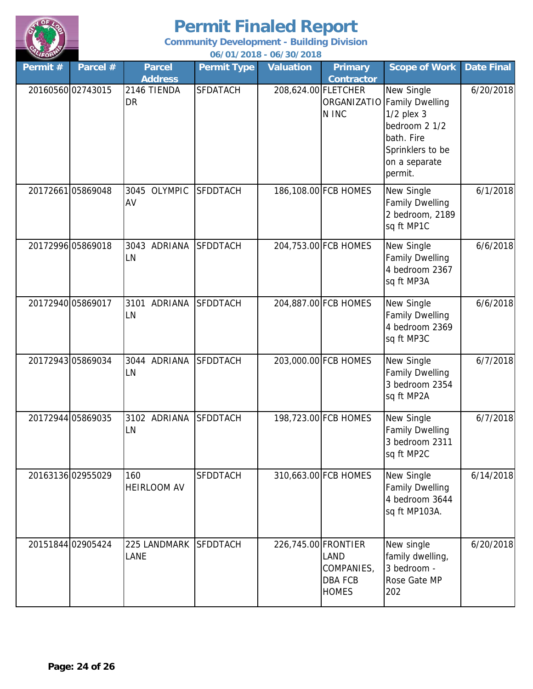

| RUFORD   |                   |                                 |                    | 06/01/2018 - 06/30/2018 |                                                             |                                                                                                                                            |                   |
|----------|-------------------|---------------------------------|--------------------|-------------------------|-------------------------------------------------------------|--------------------------------------------------------------------------------------------------------------------------------------------|-------------------|
| Permit # | Parcel #          | <b>Parcel</b><br><b>Address</b> | <b>Permit Type</b> | <b>Valuation</b>        | <b>Primary</b><br><b>Contractor</b>                         | <b>Scope of Work</b>                                                                                                                       | <b>Date Final</b> |
|          | 20160560 02743015 | 2146 TIENDA<br><b>DR</b>        | <b>SFDATACH</b>    | 208,624.00 FLETCHER     | N INC                                                       | New Single<br>ORGANIZATIO Family Dwelling<br>$1/2$ plex $3$<br>bedroom 2 1/2<br>bath. Fire<br>Sprinklers to be<br>on a separate<br>permit. | 6/20/2018         |
|          | 20172661 05869048 | 3045 OLYMPIC<br>AV              | <b>SFDDTACH</b>    |                         | 186,108.00 FCB HOMES                                        | New Single<br><b>Family Dwelling</b><br>2 bedroom, 2189<br>sq ft MP1C                                                                      | 6/1/2018          |
|          | 20172996 05869018 | 3043 ADRIANA<br>LN              | <b>SFDDTACH</b>    |                         | 204,753.00 FCB HOMES                                        | New Single<br><b>Family Dwelling</b><br>4 bedroom 2367<br>sq ft MP3A                                                                       | 6/6/2018          |
|          | 20172940 05869017 | 3101 ADRIANA<br>LN              | <b>SFDDTACH</b>    |                         | 204,887.00 FCB HOMES                                        | New Single<br><b>Family Dwelling</b><br>4 bedroom 2369<br>sq ft MP3C                                                                       | 6/6/2018          |
|          | 20172943 05869034 | 3044 ADRIANA<br>LN              | <b>SFDDTACH</b>    |                         | 203,000.00 FCB HOMES                                        | New Single<br><b>Family Dwelling</b><br>3 bedroom 2354<br>sq ft MP2A                                                                       | 6/7/2018          |
|          | 20172944 05869035 | 3102 ADRIANA<br>LN              | <b>SFDDTACH</b>    |                         | 198,723.00 FCB HOMES                                        | New Single<br><b>Family Dwelling</b><br>3 bedroom 2311<br>sq ft MP2C                                                                       | 6/7/2018          |
|          | 20163136 02955029 | 160<br><b>HEIRLOOM AV</b>       | SFDDTACH           |                         | 310,663.00 FCB HOMES                                        | New Single<br><b>Family Dwelling</b><br>4 bedroom 3644<br>sq ft MP103A.                                                                    | 6/14/2018         |
|          | 20151844 02905424 | 225 LANDMARK<br><b>LANE</b>     | <b>SFDDTACH</b>    | 226,745.00 FRONTIER     | <b>LAND</b><br>COMPANIES,<br><b>DBA FCB</b><br><b>HOMES</b> | New single<br>family dwelling,<br>3 bedroom -<br>Rose Gate MP<br>202                                                                       | 6/20/2018         |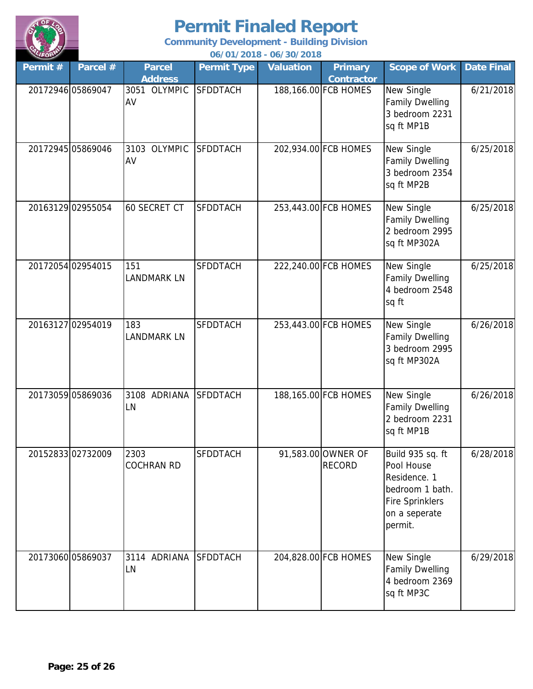

| LIFORM  | 06/01/2018 - 06/30/2018 |                           |                    |                  |                                     |                                                                                                                         |                   |  |  |  |  |
|---------|-------------------------|---------------------------|--------------------|------------------|-------------------------------------|-------------------------------------------------------------------------------------------------------------------------|-------------------|--|--|--|--|
| Permit# | Parcel #                | <b>Parcel</b>             | <b>Permit Type</b> | <b>Valuation</b> | <b>Primary</b>                      | <b>Scope of Work</b>                                                                                                    | <b>Date Final</b> |  |  |  |  |
|         |                         | <b>Address</b>            |                    |                  | <b>Contractor</b>                   |                                                                                                                         |                   |  |  |  |  |
|         | 20172946 05869047       | 3051 OLYMPIC<br>AV        | <b>SFDDTACH</b>    |                  | 188,166.00 FCB HOMES                | New Single<br><b>Family Dwelling</b><br>3 bedroom 2231<br>sq ft MP1B                                                    | 6/21/2018         |  |  |  |  |
|         | 20172945 05869046       | 3103 OLYMPIC<br>AV        | <b>SFDDTACH</b>    |                  | 202,934.00 FCB HOMES                | New Single<br><b>Family Dwelling</b><br>3 bedroom 2354<br>sq ft MP2B                                                    | 6/25/2018         |  |  |  |  |
|         | 20163129 02955054       | <b>60 SECRET CT</b>       | <b>SFDDTACH</b>    |                  | 253,443.00 FCB HOMES                | New Single<br><b>Family Dwelling</b><br>2 bedroom 2995<br>sq ft MP302A                                                  | 6/25/2018         |  |  |  |  |
|         | 20172054 02954015       | 151<br><b>LANDMARK LN</b> | <b>SFDDTACH</b>    |                  | 222,240.00 FCB HOMES                | New Single<br><b>Family Dwelling</b><br>4 bedroom 2548<br>sq ft                                                         | 6/25/2018         |  |  |  |  |
|         | 20163127 02954019       | 183<br><b>LANDMARK LN</b> | <b>SFDDTACH</b>    |                  | 253,443.00 FCB HOMES                | New Single<br><b>Family Dwelling</b><br>3 bedroom 2995<br>sq ft MP302A                                                  | 6/26/2018         |  |  |  |  |
|         | 20173059 05869036       | 3108 ADRIANA<br>LN        | <b>SFDDTACH</b>    |                  | 188,165.00 FCB HOMES                | New Single<br><b>Family Dwelling</b><br>2 bedroom 2231<br>sq ft MP1B                                                    | 6/26/2018         |  |  |  |  |
|         | 20152833 02732009       | 2303<br><b>COCHRAN RD</b> | <b>SFDDTACH</b>    |                  | 91,583.00 OWNER OF<br><b>RECORD</b> | Build 935 sq. ft<br>Pool House<br>Residence. 1<br>bedroom 1 bath.<br><b>Fire Sprinklers</b><br>on a seperate<br>permit. | 6/28/2018         |  |  |  |  |
|         | 20173060 05869037       | 3114 ADRIANA<br>LN        | <b>SFDDTACH</b>    |                  | 204,828.00 FCB HOMES                | New Single<br><b>Family Dwelling</b><br>4 bedroom 2369<br>sq ft MP3C                                                    | 6/29/2018         |  |  |  |  |